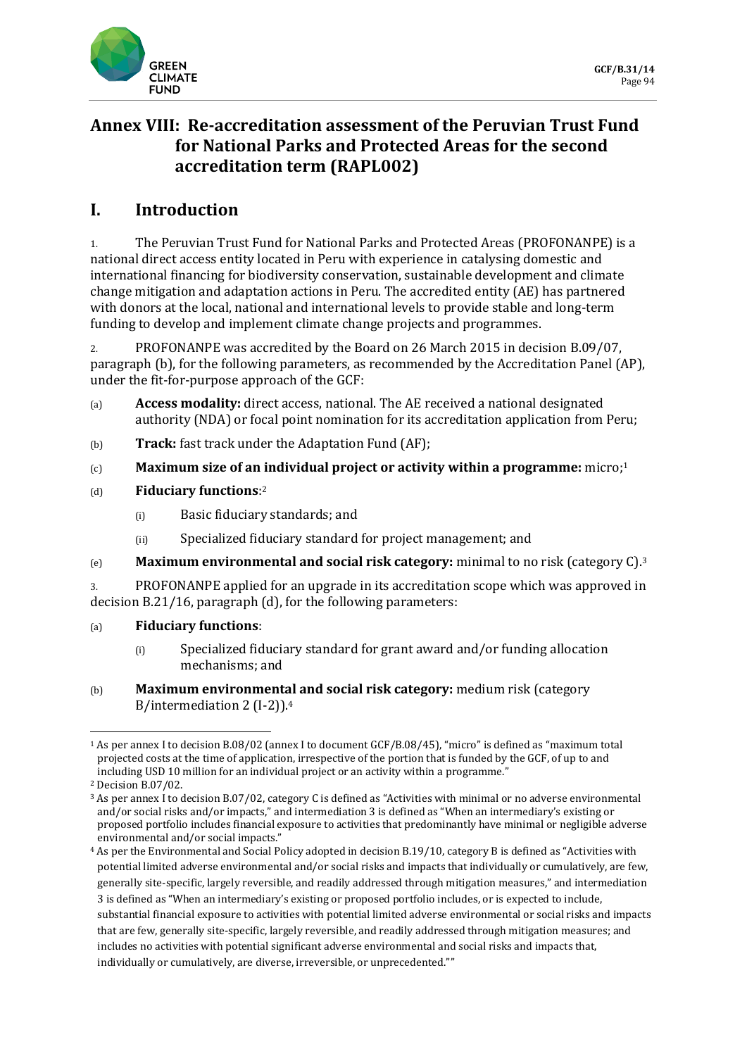

# **Annex VIII: Re-accreditation assessment of the Peruvian Trust Fund for National Parks and Protected Areas for the second accreditation term (RAPL002)**

# **I. Introduction**

1. The Peruvian Trust Fund for National Parks and Protected Areas (PROFONANPE) is a national direct access entity located in Peru with experience in catalysing domestic and international financing for biodiversity conservation, sustainable development and climate change mitigation and adaptation actions in Peru. The accredited entity (AE) has partnered with donors at the local, national and international levels to provide stable and long-term funding to develop and implement climate change projects and programmes.

2. PROFONANPE was accredited by the Board on 26 March 2015 in decision B.09/07, paragraph (b), for the following parameters, as recommended by the Accreditation Panel (AP), under the fit-for-purpose approach of the GCF:

- (a) **Access modality:** direct access, national. The AE received a national designated authority (NDA) or focal point nomination for its accreditation application from Peru;
- (b) **Track:** fast track under the Adaptation Fund (AF);
- (c) **Maximum size of an individual project or activity within a programme:** micro;<sup>1</sup>
- (d) **Fiduciary functions**: 2
	- (i) Basic fiduciary standards; and
	- (ii) Specialized fiduciary standard for project management; and
- (e) **Maximum environmental and social risk category:** minimal to no risk (category C).<sup>3</sup>

3. PROFONANPE applied for an upgrade in its accreditation scope which was approved in decision B.21/16, paragraph (d), for the following parameters:

#### (a) **Fiduciary functions**:

- (i) Specialized fiduciary standard for grant award and/or funding allocation mechanisms; and
- (b) **Maximum environmental and social risk category:** medium risk (category B/intermediation 2 (I-2)).<sup>4</sup>

<sup>1</sup> As per annex I to decision B.08/02 (annex I to document GCF/B.08/45), "micro" is defined as "maximum total projected costs at the time of application, irrespective of the portion that is funded by the GCF, of up to and including USD 10 million for an individual project or an activity within a programme."

<sup>2</sup> Decision B.07/02.

<sup>3</sup> As per annex I to decision B.07/02, category C is defined as "Activities with minimal or no adverse environmental and/or social risks and/or impacts," and intermediation 3 is defined as "When an intermediary's existing or proposed portfolio includes financial exposure to activities that predominantly have minimal or negligible adverse environmental and/or social impacts."

<sup>4</sup> As per the Environmental and Social Policy adopted in decision B.19/10, category B is defined as "Activities with potential limited adverse environmental and/or social risks and impacts that individually or cumulatively, are few, generally site-specific, largely reversible, and readily addressed through mitigation measures," and intermediation 3 is defined as "When an intermediary's existing or proposed portfolio includes, or is expected to include, substantial financial exposure to activities with potential limited adverse environmental or social risks and impacts that are few, generally site-specific, largely reversible, and readily addressed through mitigation measures; and includes no activities with potential significant adverse environmental and social risks and impacts that, individually or cumulatively, are diverse, irreversible, or unprecedented.""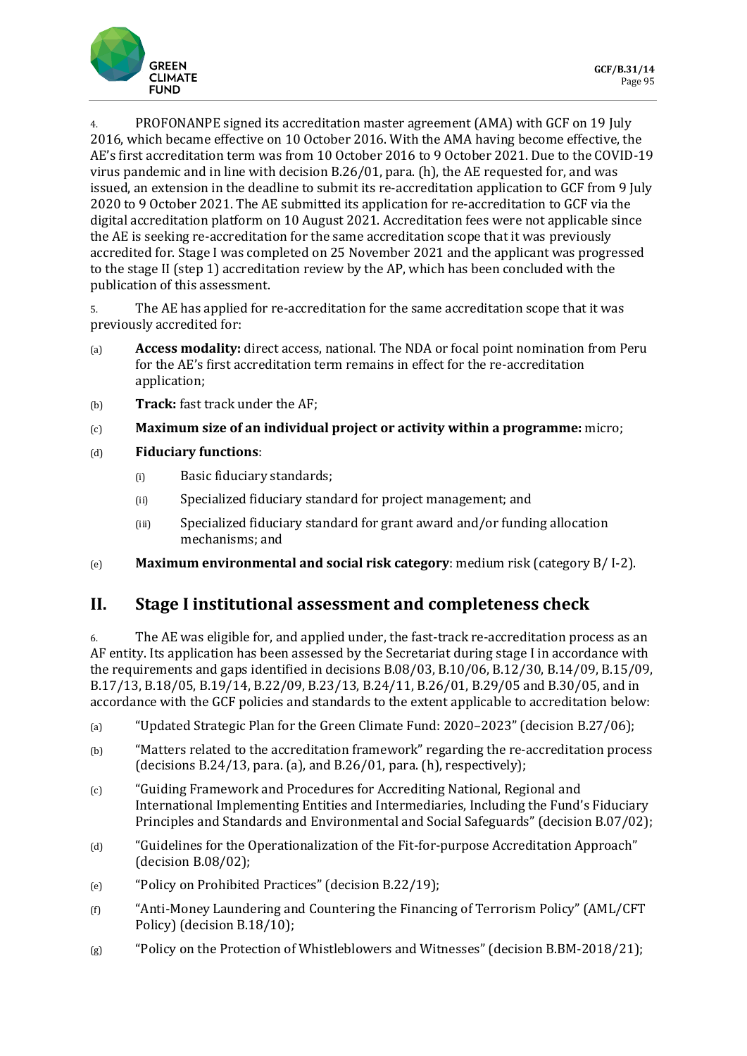

4. PROFONANPE signed its accreditation master agreement (AMA) with GCF on 19 July 2016, which became effective on 10 October 2016. With the AMA having become effective, the AE's first accreditation term was from 10 October 2016 to 9 October 2021. Due to the COVID-19 virus pandemic and in line with decision B.26/01, para. (h), the AE requested for, and was issued, an extension in the deadline to submit its re-accreditation application to GCF from 9 July 2020 to 9 October 2021. The AE submitted its application for re-accreditation to GCF via the digital accreditation platform on 10 August 2021. Accreditation fees were not applicable since the AE is seeking re-accreditation for the same accreditation scope that it was previously accredited for. Stage I was completed on 25 November 2021 and the applicant was progressed to the stage II (step 1) accreditation review by the AP, which has been concluded with the publication of this assessment.

5. The AE has applied for re-accreditation for the same accreditation scope that it was previously accredited for:

- (a) **Access modality:** direct access, national. The NDA or focal point nomination from Peru for the AE's first accreditation term remains in effect for the re-accreditation application;
- (b) **Track:** fast track under the AF;
- (c) **Maximum size of an individual project or activity within a programme:** micro;
- (d) **Fiduciary functions**:
	- (i) Basic fiduciary standards;
	- (ii) Specialized fiduciary standard for project management; and
	- (iii) Specialized fiduciary standard for grant award and/or funding allocation mechanisms; and
- (e) **Maximum environmental and social risk category**: medium risk (category B/ I-2).

## **II. Stage I institutional assessment and completeness check**

6. The AE was eligible for, and applied under, the fast-track re-accreditation process as an AF entity. Its application has been assessed by the Secretariat during stage I in accordance with the requirements and gaps identified in decisions B.08/03, B.10/06, B.12/30, B.14/09, B.15/09, B.17/13, B.18/05, B.19/14, B.22/09, B.23/13, B.24/11, B.26/01, B.29/05 and B.30/05, and in accordance with the GCF policies and standards to the extent applicable to accreditation below:

- (a) "Updated Strategic Plan for the Green Climate Fund: 2020–2023" (decision B.27/06);
- (b) "Matters related to the accreditation framework" regarding the re-accreditation process (decisions B.24/13, para. (a), and B.26/01, para. (h), respectively);
- (c) "Guiding Framework and Procedures for Accrediting National, Regional and International Implementing Entities and Intermediaries, Including the Fund's Fiduciary Principles and Standards and Environmental and Social Safeguards" (decision B.07/02);
- (d) "Guidelines for the Operationalization of the Fit-for-purpose Accreditation Approach" (decision B.08/02);
- (e) "Policy on Prohibited Practices" (decision B.22/19);
- (f) "Anti-Money Laundering and Countering the Financing of Terrorism Policy" (AML/CFT Policy) (decision B.18/10);
- (g) "Policy on the Protection of Whistleblowers and Witnesses" (decision B.BM-2018/21);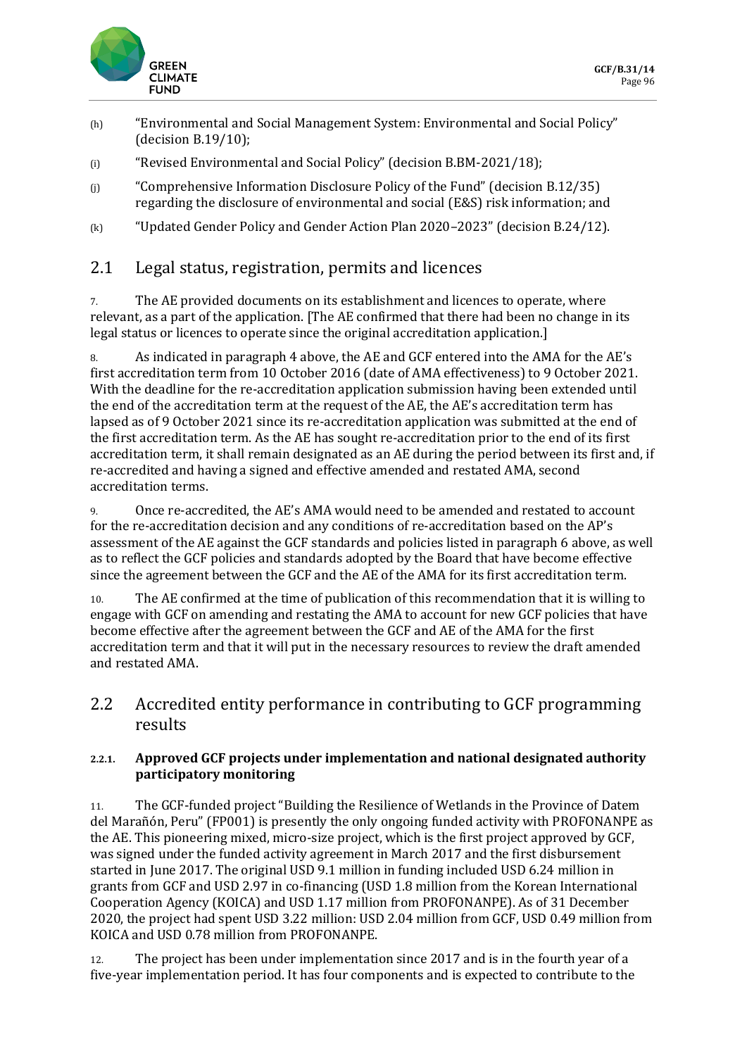

- (h) "Environmental and Social Management System: Environmental and Social Policy" (decision B.19/10);
- (i) "Revised Environmental and Social Policy" (decision B.BM-2021/18);
- (j) "Comprehensive Information Disclosure Policy of the Fund" (decision B.12/35) regarding the disclosure of environmental and social (E&S) risk information; and
- (k) "Updated Gender Policy and Gender Action Plan 2020–2023" (decision B.24/12).

## 2.1 Legal status, registration, permits and licences

7. The AE provided documents on its establishment and licences to operate, where relevant, as a part of the application. [The AE confirmed that there had been no change in its legal status or licences to operate since the original accreditation application.]

8. As indicated in paragraph 4 above, the AE and GCF entered into the AMA for the AE's first accreditation term from 10 October 2016 (date of AMA effectiveness) to 9 October 2021. With the deadline for the re-accreditation application submission having been extended until the end of the accreditation term at the request of the AE, the AE's accreditation term has lapsed as of 9 October 2021 since its re-accreditation application was submitted at the end of the first accreditation term. As the AE has sought re-accreditation prior to the end of its first accreditation term, it shall remain designated as an AE during the period between its first and, if re-accredited and having a signed and effective amended and restated AMA, second accreditation terms.

9. Once re-accredited, the AE's AMA would need to be amended and restated to account for the re-accreditation decision and any conditions of re-accreditation based on the AP's assessment of the AE against the GCF standards and policies listed in paragraph 6 above, as well as to reflect the GCF policies and standards adopted by the Board that have become effective since the agreement between the GCF and the AE of the AMA for its first accreditation term.

10. The AE confirmed at the time of publication of this recommendation that it is willing to engage with GCF on amending and restating the AMA to account for new GCF policies that have become effective after the agreement between the GCF and AE of the AMA for the first accreditation term and that it will put in the necessary resources to review the draft amended and restated AMA.

### 2.2 Accredited entity performance in contributing to GCF programming results

#### **2.2.1. Approved GCF projects under implementation and national designated authority participatory monitoring**

11. The GCF-funded project "Building the Resilience of Wetlands in the Province of Datem del Marañón, Peru" (FP001) is presently the only ongoing funded activity with PROFONANPE as the AE. This pioneering mixed, micro-size project, which is the first project approved by GCF, was signed under the funded activity agreement in March 2017 and the first disbursement started in June 2017. The original USD 9.1 million in funding included USD 6.24 million in grants from GCF and USD 2.97 in co-financing (USD 1.8 million from the Korean International Cooperation Agency (KOICA) and USD 1.17 million from PROFONANPE). As of 31 December 2020, the project had spent USD 3.22 million: USD 2.04 million from GCF, USD 0.49 million from KOICA and USD 0.78 million from PROFONANPE.

12. The project has been under implementation since 2017 and is in the fourth year of a five-year implementation period. It has four components and is expected to contribute to the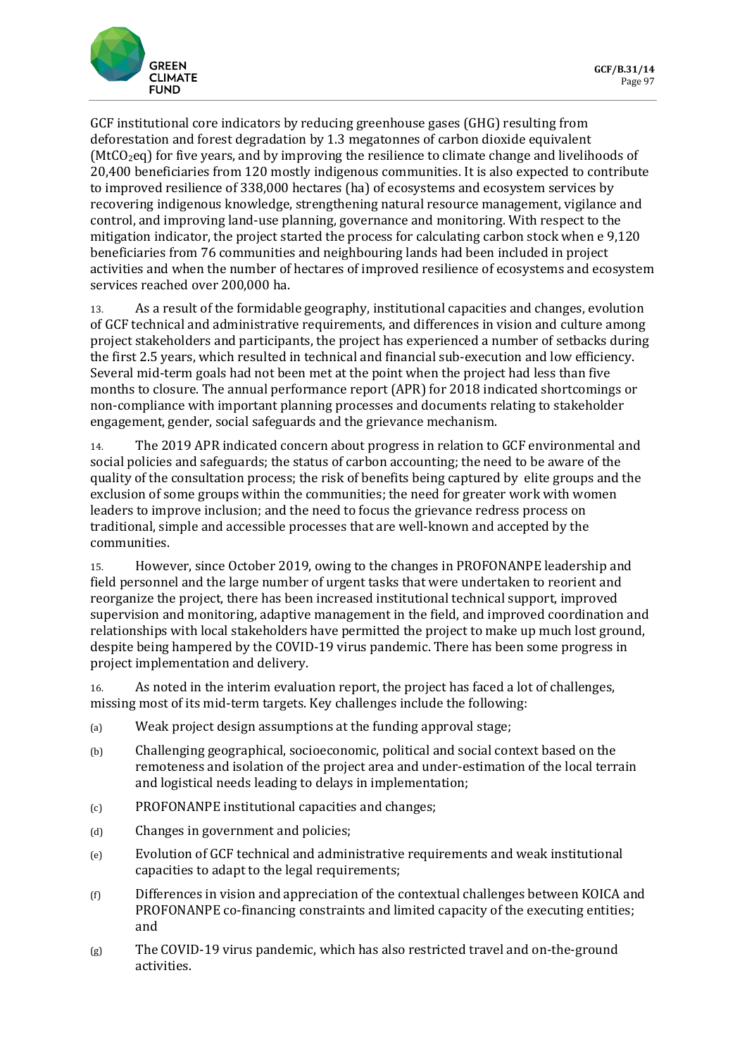

GCF institutional core indicators by reducing greenhouse gases (GHG) resulting from deforestation and forest degradation by 1.3 megatonnes of carbon dioxide equivalent ( $MtCO<sub>2</sub>$ eq) for five years, and by improving the resilience to climate change and livelihoods of 20,400 beneficiaries from 120 mostly indigenous communities. It is also expected to contribute to improved resilience of 338,000 hectares (ha) of ecosystems and ecosystem services by recovering indigenous knowledge, strengthening natural resource management, vigilance and control, and improving land-use planning, governance and monitoring. With respect to the mitigation indicator, the project started the process for calculating carbon stock when e 9,120 beneficiaries from 76 communities and neighbouring lands had been included in project activities and when the number of hectares of improved resilience of ecosystems and ecosystem services reached over 200,000 ha.

13. As a result of the formidable geography, institutional capacities and changes, evolution of GCF technical and administrative requirements, and differences in vision and culture among project stakeholders and participants, the project has experienced a number of setbacks during the first 2.5 years, which resulted in technical and financial sub-execution and low efficiency. Several mid-term goals had not been met at the point when the project had less than five months to closure. The annual performance report (APR) for 2018 indicated shortcomings or non-compliance with important planning processes and documents relating to stakeholder engagement, gender, social safeguards and the grievance mechanism.

14. The 2019 APR indicated concern about progress in relation to GCF environmental and social policies and safeguards; the status of carbon accounting; the need to be aware of the quality of the consultation process; the risk of benefits being captured by elite groups and the exclusion of some groups within the communities; the need for greater work with women leaders to improve inclusion; and the need to focus the grievance redress process on traditional, simple and accessible processes that are well-known and accepted by the communities.

15. However, since October 2019, owing to the changes in PROFONANPE leadership and field personnel and the large number of urgent tasks that were undertaken to reorient and reorganize the project, there has been increased institutional technical support, improved supervision and monitoring, adaptive management in the field, and improved coordination and relationships with local stakeholders have permitted the project to make up much lost ground, despite being hampered by the COVID-19 virus pandemic. There has been some progress in project implementation and delivery.

16. As noted in the interim evaluation report, the project has faced a lot of challenges, missing most of its mid-term targets. Key challenges include the following:

- (a) Weak project design assumptions at the funding approval stage;
- (b) Challenging geographical, socioeconomic, political and social context based on the remoteness and isolation of the project area and under-estimation of the local terrain and logistical needs leading to delays in implementation;
- (c) PROFONANPE institutional capacities and changes;
- (d) Changes in government and policies;
- (e) Evolution of GCF technical and administrative requirements and weak institutional capacities to adapt to the legal requirements;
- (f) Differences in vision and appreciation of the contextual challenges between KOICA and PROFONANPE co-financing constraints and limited capacity of the executing entities; and
- (g) The COVID-19 virus pandemic, which has also restricted travel and on-the-ground activities.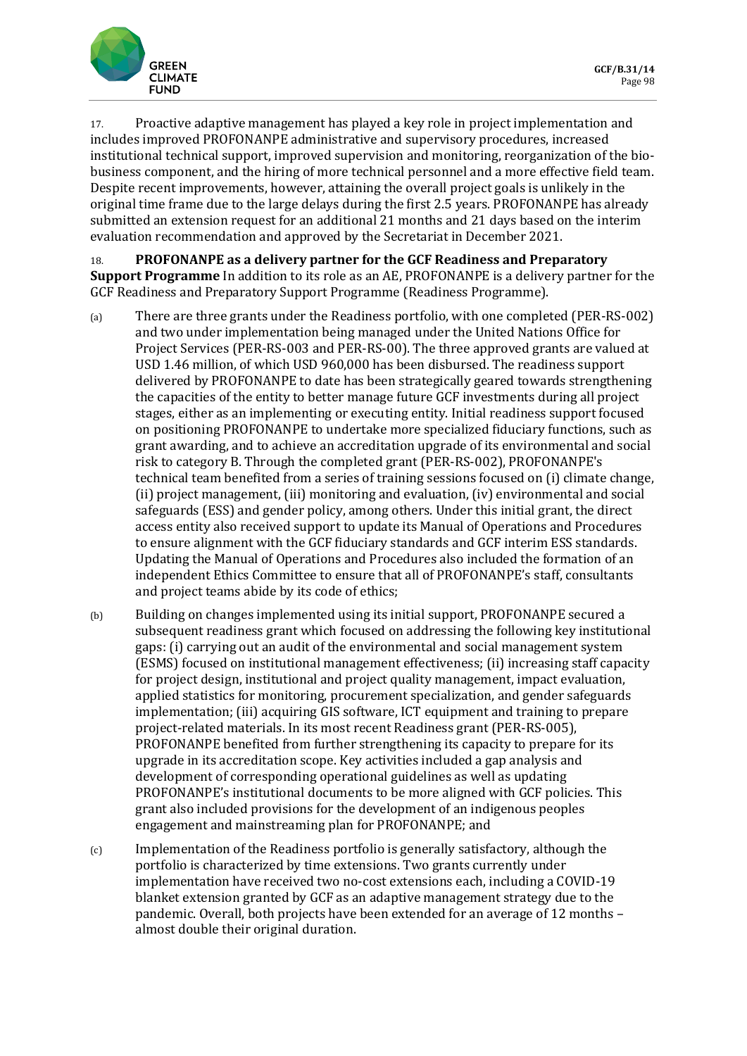

17. Proactive adaptive management has played a key role in project implementation and includes improved PROFONANPE administrative and supervisory procedures, increased institutional technical support, improved supervision and monitoring, reorganization of the biobusiness component, and the hiring of more technical personnel and a more effective field team. Despite recent improvements, however, attaining the overall project goals is unlikely in the original time frame due to the large delays during the first 2.5 years. PROFONANPE has already submitted an extension request for an additional 21 months and 21 days based on the interim evaluation recommendation and approved by the Secretariat in December 2021.

18. **PROFONANPE as a delivery partner for the GCF Readiness and Preparatory Support Programme** In addition to its role as an AE, PROFONANPE is a delivery partner for the GCF Readiness and Preparatory Support Programme (Readiness Programme).

- (a) There are three grants under the Readiness portfolio, with one completed (PER-RS-002) and two under implementation being managed under the United Nations Office for Project Services (PER-RS-003 and PER-RS-00). The three approved grants are valued at USD 1.46 million, of which USD 960,000 has been disbursed. The readiness support delivered by PROFONANPE to date has been strategically geared towards strengthening the capacities of the entity to better manage future GCF investments during all project stages, either as an implementing or executing entity. Initial readiness support focused on positioning PROFONANPE to undertake more specialized fiduciary functions, such as grant awarding, and to achieve an accreditation upgrade of its environmental and social risk to category B. Through the completed grant (PER-RS-002), PROFONANPE's technical team benefited from a series of training sessions focused on (i) climate change, (ii) project management, (iii) monitoring and evaluation, (iv) environmental and social safeguards (ESS) and gender policy, among others. Under this initial grant, the direct access entity also received support to update its Manual of Operations and Procedures to ensure alignment with the GCF fiduciary standards and GCF interim ESS standards. Updating the Manual of Operations and Procedures also included the formation of an independent Ethics Committee to ensure that all of PROFONANPE's staff, consultants and project teams abide by its code of ethics;
- (b) Building on changes implemented using its initial support, PROFONANPE secured a subsequent readiness grant which focused on addressing the following key institutional gaps: (i) carrying out an audit of the environmental and social management system (ESMS) focused on institutional management effectiveness; (ii) increasing staff capacity for project design, institutional and project quality management, impact evaluation, applied statistics for monitoring, procurement specialization, and gender safeguards implementation; (iii) acquiring GIS software, ICT equipment and training to prepare project-related materials. In its most recent Readiness grant (PER-RS-005), PROFONANPE benefited from further strengthening its capacity to prepare for its upgrade in its accreditation scope. Key activities included a gap analysis and development of corresponding operational guidelines as well as updating PROFONANPE's institutional documents to be more aligned with GCF policies. This grant also included provisions for the development of an indigenous peoples engagement and mainstreaming plan for PROFONANPE; and
- (c) Implementation of the Readiness portfolio is generally satisfactory, although the portfolio is characterized by time extensions. Two grants currently under implementation have received two no-cost extensions each, including a COVID-19 blanket extension granted by GCF as an adaptive management strategy due to the pandemic. Overall, both projects have been extended for an average of 12 months – almost double their original duration.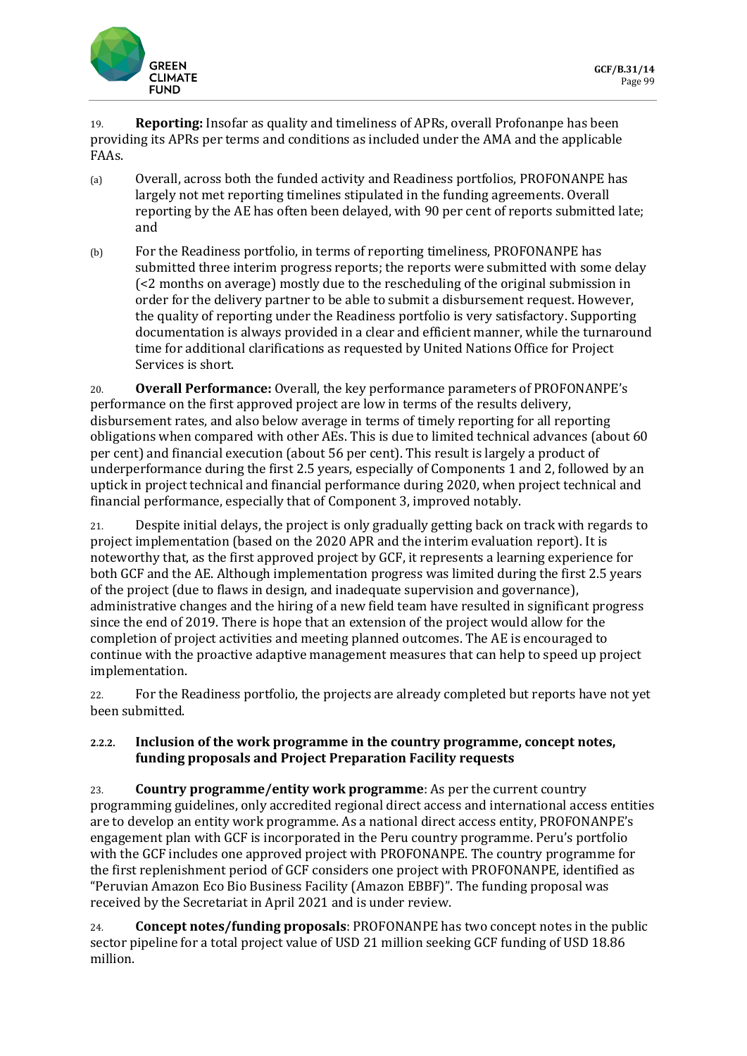

19. **Reporting:** Insofar as quality and timeliness of APRs, overall Profonanpe has been providing its APRs per terms and conditions as included under the AMA and the applicable FAAs.

- (a) Overall, across both the funded activity and Readiness portfolios, PROFONANPE has largely not met reporting timelines stipulated in the funding agreements. Overall reporting by the AE has often been delayed, with 90 per cent of reports submitted late; and
- (b) For the Readiness portfolio, in terms of reporting timeliness, PROFONANPE has submitted three interim progress reports; the reports were submitted with some delay (<2 months on average) mostly due to the rescheduling of the original submission in order for the delivery partner to be able to submit a disbursement request. However, the quality of reporting under the Readiness portfolio is very satisfactory. Supporting documentation is always provided in a clear and efficient manner, while the turnaround time for additional clarifications as requested by United Nations Office for Project Services is short.

20. **Overall Performance:** Overall, the key performance parameters of PROFONANPE's performance on the first approved project are low in terms of the results delivery, disbursement rates, and also below average in terms of timely reporting for all reporting obligations when compared with other AEs. This is due to limited technical advances (about 60 per cent) and financial execution (about 56 per cent). This result is largely a product of underperformance during the first 2.5 years, especially of Components 1 and 2, followed by an uptick in project technical and financial performance during 2020, when project technical and financial performance, especially that of Component 3, improved notably.

21. Despite initial delays, the project is only gradually getting back on track with regards to project implementation (based on the 2020 APR and the interim evaluation report). It is noteworthy that, as the first approved project by GCF, it represents a learning experience for both GCF and the AE. Although implementation progress was limited during the first 2.5 years of the project (due to flaws in design, and inadequate supervision and governance), administrative changes and the hiring of a new field team have resulted in significant progress since the end of 2019. There is hope that an extension of the project would allow for the completion of project activities and meeting planned outcomes. The AE is encouraged to continue with the proactive adaptive management measures that can help to speed up project implementation.

22. For the Readiness portfolio, the projects are already completed but reports have not yet been submitted.

#### **2.2.2. Inclusion of the work programme in the country programme, concept notes, funding proposals and Project Preparation Facility requests**

23. **Country programme/entity work programme**: As per the current country programming guidelines, only accredited regional direct access and international access entities are to develop an entity work programme. As a national direct access entity, PROFONANPE's engagement plan with GCF is incorporated in the Peru country programme. Peru's portfolio with the GCF includes one approved project with PROFONANPE. The country programme for the first replenishment period of GCF considers one project with PROFONANPE, identified as "Peruvian Amazon Eco Bio Business Facility (Amazon EBBF)". The funding proposal was received by the Secretariat in April 2021 and is under review.

24. **Concept notes/funding proposals**: PROFONANPE has two concept notes in the public sector pipeline for a total project value of USD 21 million seeking GCF funding of USD 18.86 million.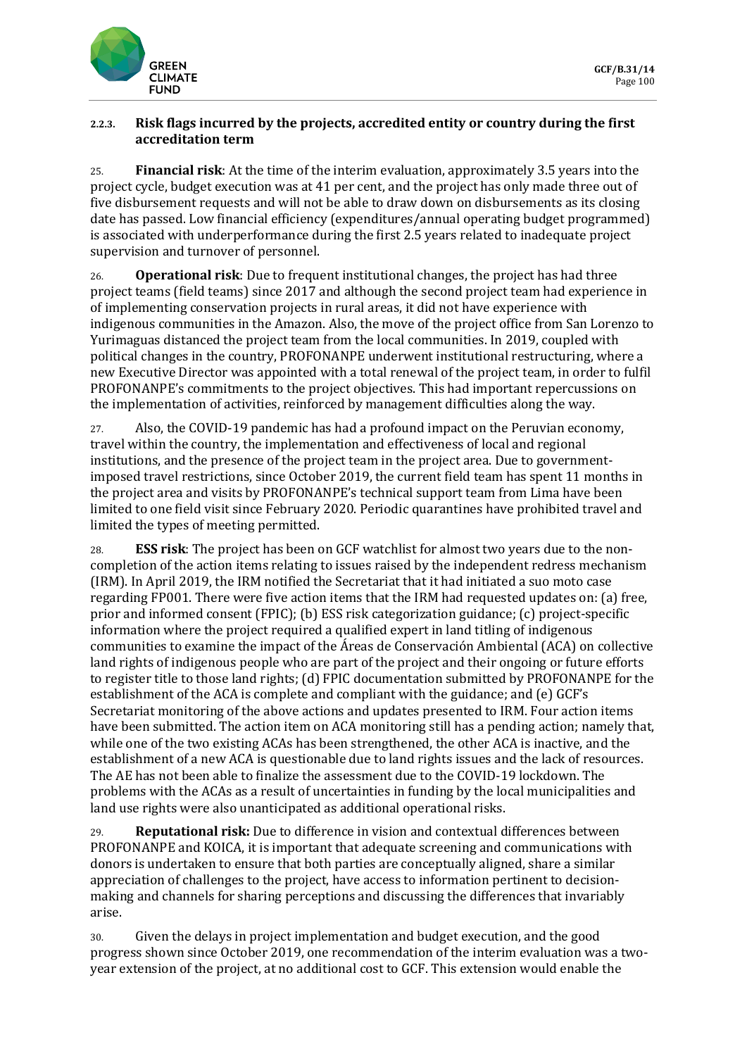

#### **2.2.3. Risk flags incurred by the projects, accredited entity or country during the first accreditation term**

25. **Financial risk**: At the time of the interim evaluation, approximately 3.5 years into the project cycle, budget execution was at 41 per cent, and the project has only made three out of five disbursement requests and will not be able to draw down on disbursements as its closing date has passed. Low financial efficiency (expenditures/annual operating budget programmed) is associated with underperformance during the first 2.5 years related to inadequate project supervision and turnover of personnel.

26. **Operational risk**: Due to frequent institutional changes, the project has had three project teams (field teams) since 2017 and although the second project team had experience in of implementing conservation projects in rural areas, it did not have experience with indigenous communities in the Amazon. Also, the move of the project office from San Lorenzo to Yurimaguas distanced the project team from the local communities. In 2019, coupled with political changes in the country, PROFONANPE underwent institutional restructuring, where a new Executive Director was appointed with a total renewal of the project team, in order to fulfil PROFONANPE's commitments to the project objectives. This had important repercussions on the implementation of activities, reinforced by management difficulties along the way.

27. Also, the COVID-19 pandemic has had a profound impact on the Peruvian economy, travel within the country, the implementation and effectiveness of local and regional institutions, and the presence of the project team in the project area. Due to governmentimposed travel restrictions, since October 2019, the current field team has spent 11 months in the project area and visits by PROFONANPE's technical support team from Lima have been limited to one field visit since February 2020. Periodic quarantines have prohibited travel and limited the types of meeting permitted.

28. **ESS risk**: The project has been on GCF watchlist for almost two years due to the noncompletion of the action items relating to issues raised by the independent redress mechanism (IRM). In April 2019, the IRM notified the Secretariat that it had initiated a suo moto case regarding FP001. There were five action items that the IRM had requested updates on: (a) free, prior and informed consent (FPIC); (b) ESS risk categorization guidance; (c) project-specific information where the project required a qualified expert in land titling of indigenous communities to examine the impact of the Áreas de Conservación Ambiental (ACA) on collective land rights of indigenous people who are part of the project and their ongoing or future efforts to register title to those land rights; (d) FPIC documentation submitted by PROFONANPE for the establishment of the ACA is complete and compliant with the guidance; and (e) GCF's Secretariat monitoring of the above actions and updates presented to IRM. Four action items have been submitted. The action item on ACA monitoring still has a pending action; namely that, while one of the two existing ACAs has been strengthened, the other ACA is inactive, and the establishment of a new ACA is questionable due to land rights issues and the lack of resources. The AE has not been able to finalize the assessment due to the COVID-19 lockdown. The problems with the ACAs as a result of uncertainties in funding by the local municipalities and land use rights were also unanticipated as additional operational risks.

29. **Reputational risk:** Due to difference in vision and contextual differences between PROFONANPE and KOICA, it is important that adequate screening and communications with donors is undertaken to ensure that both parties are conceptually aligned, share a similar appreciation of challenges to the project, have access to information pertinent to decisionmaking and channels for sharing perceptions and discussing the differences that invariably arise.

30. Given the delays in project implementation and budget execution, and the good progress shown since October 2019, one recommendation of the interim evaluation was a twoyear extension of the project, at no additional cost to GCF. This extension would enable the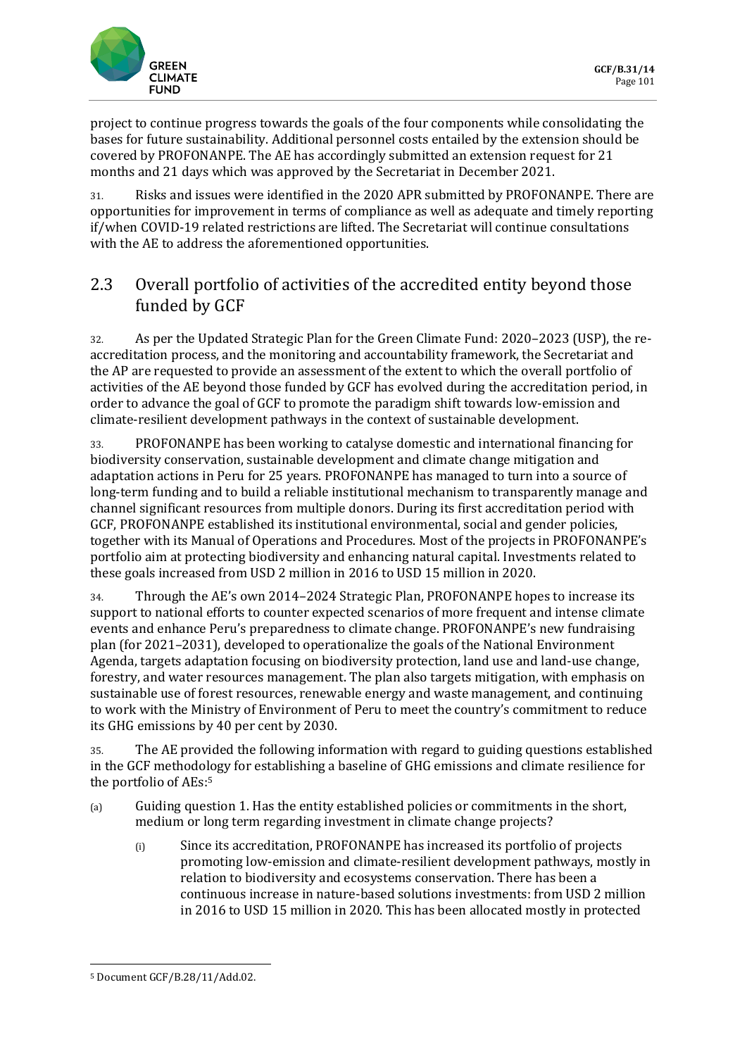

project to continue progress towards the goals of the four components while consolidating the bases for future sustainability. Additional personnel costs entailed by the extension should be covered by PROFONANPE. The AE has accordingly submitted an extension request for 21 months and 21 days which was approved by the Secretariat in December 2021.

31. Risks and issues were identified in the 2020 APR submitted by PROFONANPE. There are opportunities for improvement in terms of compliance as well as adequate and timely reporting if/when COVID-19 related restrictions are lifted. The Secretariat will continue consultations with the AE to address the aforementioned opportunities.

# 2.3 Overall portfolio of activities of the accredited entity beyond those funded by GCF

32. As per the Updated Strategic Plan for the Green Climate Fund: 2020–2023 (USP), the reaccreditation process, and the monitoring and accountability framework, the Secretariat and the AP are requested to provide an assessment of the extent to which the overall portfolio of activities of the AE beyond those funded by GCF has evolved during the accreditation period, in order to advance the goal of GCF to promote the paradigm shift towards low-emission and climate-resilient development pathways in the context of sustainable development.

33. PROFONANPE has been working to catalyse domestic and international financing for biodiversity conservation, sustainable development and climate change mitigation and adaptation actions in Peru for 25 years. PROFONANPE has managed to turn into a source of long-term funding and to build a reliable institutional mechanism to transparently manage and channel significant resources from multiple donors. During its first accreditation period with GCF, PROFONANPE established its institutional environmental, social and gender policies, together with its Manual of Operations and Procedures. Most of the projects in PROFONANPE's portfolio aim at protecting biodiversity and enhancing natural capital. Investments related to these goals increased from USD 2 million in 2016 to USD 15 million in 2020.

34. Through the AE's own 2014–2024 Strategic Plan, PROFONANPE hopes to increase its support to national efforts to counter expected scenarios of more frequent and intense climate events and enhance Peru's preparedness to climate change. PROFONANPE's new fundraising plan (for 2021–2031), developed to operationalize the goals of the National Environment Agenda, targets adaptation focusing on biodiversity protection, land use and land-use change, forestry, and water resources management. The plan also targets mitigation, with emphasis on sustainable use of forest resources, renewable energy and waste management, and continuing to work with the Ministry of Environment of Peru to meet the country's commitment to reduce its GHG emissions by 40 per cent by 2030.

35. The AE provided the following information with regard to guiding questions established in the GCF methodology for establishing a baseline of GHG emissions and climate resilience for the portfolio of AEs:<sup>5</sup>

- (a) Guiding question 1. Has the entity established policies or commitments in the short, medium or long term regarding investment in climate change projects?
	- (i) Since its accreditation, PROFONANPE has increased its portfolio of projects promoting low-emission and climate-resilient development pathways, mostly in relation to biodiversity and ecosystems conservation. There has been a continuous increase in nature-based solutions investments: from USD 2 million in 2016 to USD 15 million in 2020. This has been allocated mostly in protected

<sup>5</sup> Document GCF/B.28/11/Add.02.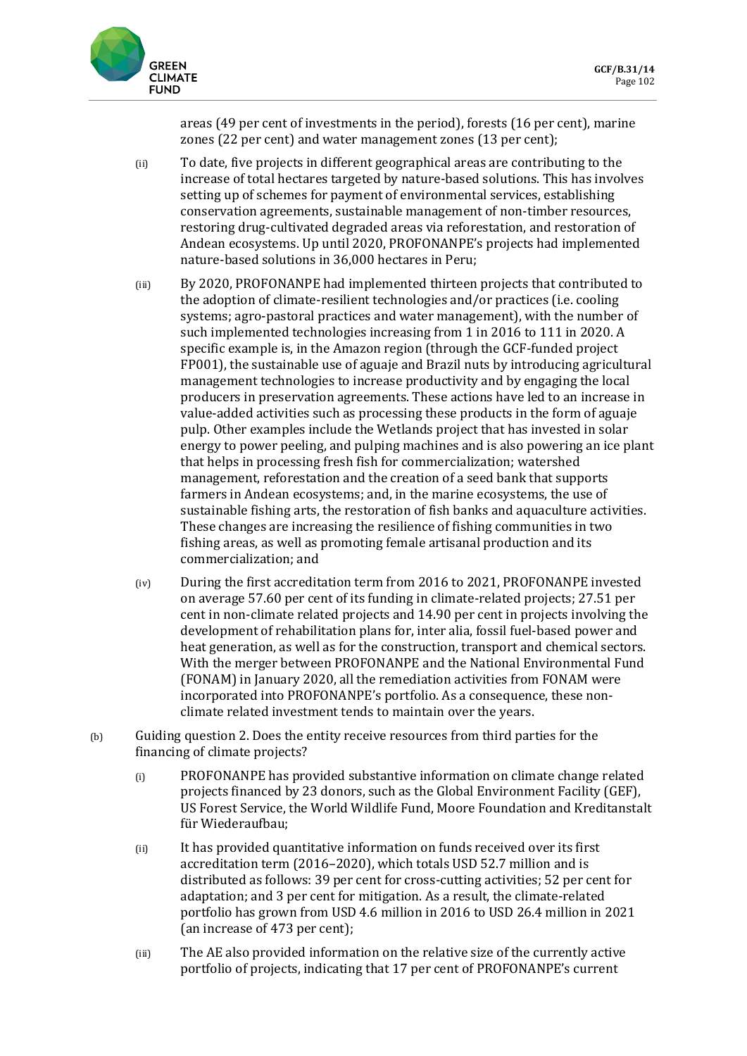

areas (49 per cent of investments in the period), forests (16 per cent), marine zones (22 per cent) and water management zones (13 per cent);

- (ii) To date, five projects in different geographical areas are contributing to the increase of total hectares targeted by nature-based solutions. This has involves setting up of schemes for payment of environmental services, establishing conservation agreements, sustainable management of non-timber resources, restoring drug-cultivated degraded areas via reforestation, and restoration of Andean ecosystems. Up until 2020, PROFONANPE's projects had implemented nature-based solutions in 36,000 hectares in Peru;
- (iii) By 2020, PROFONANPE had implemented thirteen projects that contributed to the adoption of climate-resilient technologies and/or practices (i.e. cooling systems; agro-pastoral practices and water management), with the number of such implemented technologies increasing from 1 in 2016 to 111 in 2020. A specific example is, in the Amazon region (through the GCF-funded project FP001), the sustainable use of aguaje and Brazil nuts by introducing agricultural management technologies to increase productivity and by engaging the local producers in preservation agreements. These actions have led to an increase in value-added activities such as processing these products in the form of aguaje pulp. Other examples include the Wetlands project that has invested in solar energy to power peeling, and pulping machines and is also powering an ice plant that helps in processing fresh fish for commercialization; watershed management, reforestation and the creation of a seed bank that supports farmers in Andean ecosystems; and, in the marine ecosystems, the use of sustainable fishing arts, the restoration of fish banks and aquaculture activities. These changes are increasing the resilience of fishing communities in two fishing areas, as well as promoting female artisanal production and its commercialization; and
- (iv) During the first accreditation term from 2016 to 2021, PROFONANPE invested on average 57.60 per cent of its funding in climate-related projects; 27.51 per cent in non-climate related projects and 14.90 per cent in projects involving the development of rehabilitation plans for, inter alia, fossil fuel-based power and heat generation, as well as for the construction, transport and chemical sectors. With the merger between PROFONANPE and the National Environmental Fund (FONAM) in January 2020, all the remediation activities from FONAM were incorporated into PROFONANPE's portfolio. As a consequence, these nonclimate related investment tends to maintain over the years.
- (b) Guiding question 2. Does the entity receive resources from third parties for the financing of climate projects?
	- (i) PROFONANPE has provided substantive information on climate change related projects financed by 23 donors, such as the Global Environment Facility (GEF), US Forest Service, the World Wildlife Fund, Moore Foundation and Kreditanstalt für Wiederaufbau;
	- (ii) It has provided quantitative information on funds received over its first accreditation term (2016–2020), which totals USD 52.7 million and is distributed as follows: 39 per cent for cross-cutting activities; 52 per cent for adaptation; and 3 per cent for mitigation. As a result, the climate-related portfolio has grown from USD 4.6 million in 2016 to USD 26.4 million in 2021 (an increase of 473 per cent);
	- (iii) The AE also provided information on the relative size of the currently active portfolio of projects, indicating that 17 per cent of PROFONANPE's current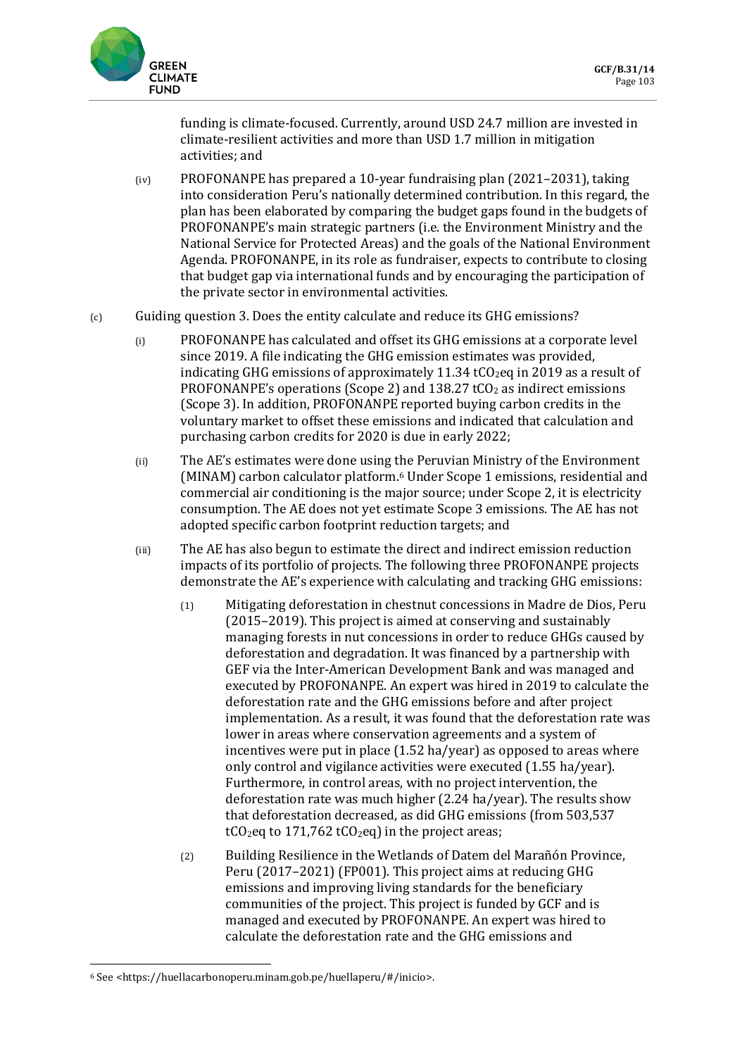

funding is climate-focused. Currently, around USD 24.7 million are invested in climate-resilient activities and more than USD 1.7 million in mitigation activities; and

- (iv) PROFONANPE has prepared a 10-year fundraising plan (2021–2031), taking into consideration Peru's nationally determined contribution. In this regard, the plan has been elaborated by comparing the budget gaps found in the budgets of PROFONANPE's main strategic partners (i.e. the Environment Ministry and the National Service for Protected Areas) and the goals of the National Environment Agenda. PROFONANPE, in its role as fundraiser, expects to contribute to closing that budget gap via international funds and by encouraging the participation of the private sector in environmental activities.
- $(c)$  Guiding question 3. Does the entity calculate and reduce its GHG emissions?
	- (i) PROFONANPE has calculated and offset its GHG emissions at a corporate level since 2019. A file indicating the GHG emission estimates was provided, indicating GHG emissions of approximately 11.34  $tCO<sub>2</sub>$ eq in 2019 as a result of PROFONANPE's operations (Scope 2) and  $138.27$  tCO<sub>2</sub> as indirect emissions (Scope 3). In addition, PROFONANPE reported buying carbon credits in the voluntary market to offset these emissions and indicated that calculation and purchasing carbon credits for 2020 is due in early 2022;
	- (ii) The AE's estimates were done using the Peruvian Ministry of the Environment (MINAM) carbon calculator platform.<sup>6</sup> Under Scope 1 emissions, residential and commercial air conditioning is the major source; under Scope 2, it is electricity consumption. The AE does not yet estimate Scope 3 emissions. The AE has not adopted specific carbon footprint reduction targets; and
	- (iii) The AE has also begun to estimate the direct and indirect emission reduction impacts of its portfolio of projects. The following three PROFONANPE projects demonstrate the AE's experience with calculating and tracking GHG emissions:
		- (1) Mitigating deforestation in chestnut concessions in Madre de Dios, Peru (2015–2019). This project is aimed at conserving and sustainably managing forests in nut concessions in order to reduce GHGs caused by deforestation and degradation. It was financed by a partnership with GEF via the Inter-American Development Bank and was managed and executed by PROFONANPE. An expert was hired in 2019 to calculate the deforestation rate and the GHG emissions before and after project implementation. As a result, it was found that the deforestation rate was lower in areas where conservation agreements and a system of incentives were put in place (1.52 ha/year) as opposed to areas where only control and vigilance activities were executed (1.55 ha/year). Furthermore, in control areas, with no project intervention, the deforestation rate was much higher (2.24 ha/year). The results show that deforestation decreased, as did GHG emissions (from 503,537  $tCO_2$ eq to 171,762 t $CO_2$ eq) in the project areas;
		- (2) Building Resilience in the Wetlands of Datem del Marañón Province, Peru (2017–2021) (FP001). This project aims at reducing GHG emissions and improving living standards for the beneficiary communities of the project. This project is funded by GCF and is managed and executed by PROFONANPE. An expert was hired to calculate the deforestation rate and the GHG emissions and

<sup>6</sup> See <https://huellacarbonoperu.minam.gob.pe/huellaperu/#/inicio>.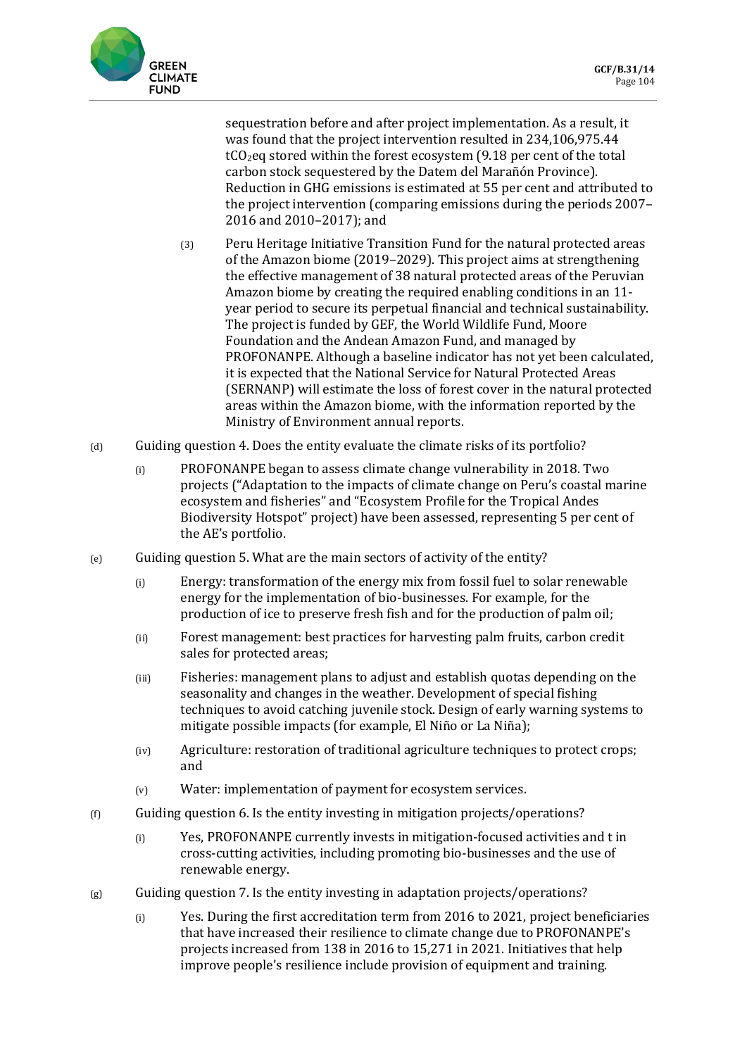

sequestration before and after project implementation. As a result, it was found that the project intervention resulted in 234,106,975.44  $tCO<sub>2</sub>$ eq stored within the forest ecosystem (9.18 per cent of the total carbon stock sequestered by the Datem del Marañón Province). Reduction in GHG emissions is estimated at 55 per cent and attributed to the project intervention (comparing emissions during the periods 2007– 2016 and 2010–2017); and

- (3) Peru Heritage Initiative Transition Fund for the natural protected areas of the Amazon biome (2019–2029). This project aims at strengthening the effective management of 38 natural protected areas of the Peruvian Amazon biome by creating the required enabling conditions in an 11 year period to secure its perpetual financial and technical sustainability. The project is funded by GEF, the World Wildlife Fund, Moore Foundation and the Andean Amazon Fund, and managed by PROFONANPE. Although a baseline indicator has not yet been calculated, it is expected that the National Service for Natural Protected Areas (SERNANP) will estimate the loss of forest cover in the natural protected areas within the Amazon biome, with the information reported by the Ministry of Environment annual reports.
- (d) Guiding question 4. Does the entity evaluate the climate risks of its portfolio?
	- (i) PROFONANPE began to assess climate change vulnerability in 2018. Two projects ("Adaptation to the impacts of climate change on Peru's coastal marine ecosystem and fisheries" and "Ecosystem Profile for the Tropical Andes Biodiversity Hotspot" project) have been assessed, representing 5 per cent of the AE's portfolio.
- (e) Guiding question 5. What are the main sectors of activity of the entity?
	- (i) Energy: transformation of the energy mix from fossil fuel to solar renewable energy for the implementation of bio-businesses. For example, for the production of ice to preserve fresh fish and for the production of palm oil;
	- (ii) Forest management: best practices for harvesting palm fruits, carbon credit sales for protected areas;
	- (iii) Fisheries: management plans to adjust and establish quotas depending on the seasonality and changes in the weather. Development of special fishing techniques to avoid catching juvenile stock. Design of early warning systems to mitigate possible impacts (for example, El Niño or La Niña);
	- (iv) Agriculture: restoration of traditional agriculture techniques to protect crops; and
	- (v) Water: implementation of payment for ecosystem services.
- (f) Guiding question 6. Is the entity investing in mitigation projects/operations?
	- (i) Yes, PROFONANPE currently invests in mitigation-focused activities and t in cross-cutting activities, including promoting bio-businesses and the use of renewable energy.
- $(g)$  Guiding question 7. Is the entity investing in adaptation projects/operations?
	- (i) Yes. During the first accreditation term from 2016 to 2021, project beneficiaries that have increased their resilience to climate change due to PROFONANPE's projects increased from 138 in 2016 to 15,271 in 2021. Initiatives that help improve people's resilience include provision of equipment and training.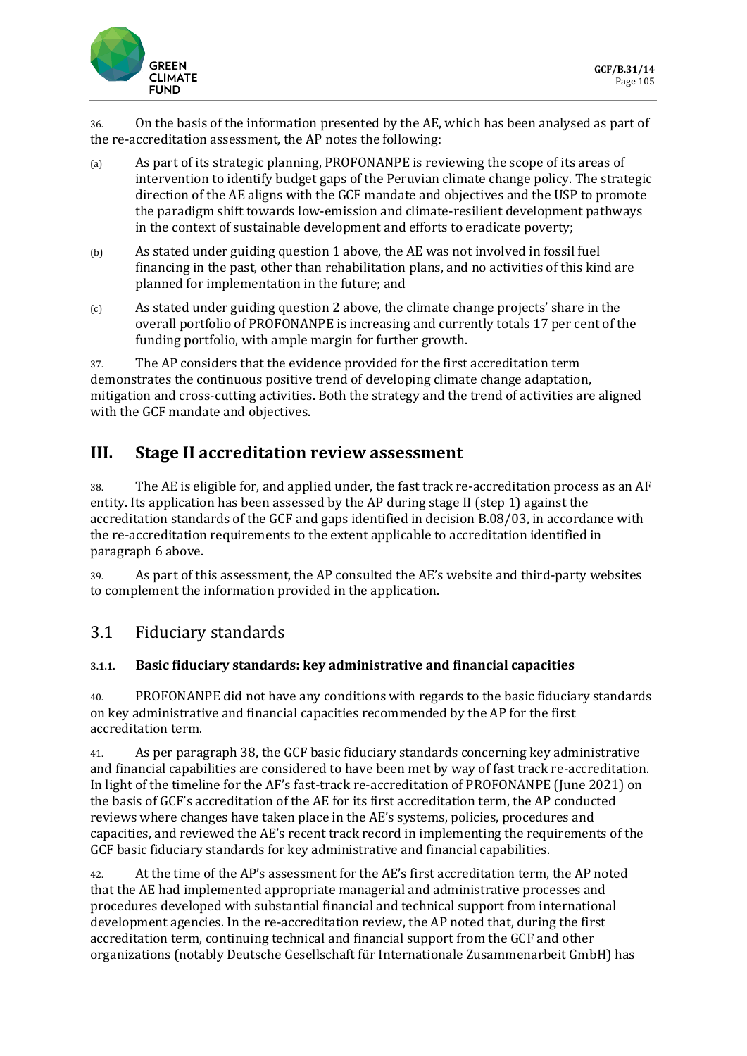

36. On the basis of the information presented by the AE, which has been analysed as part of the re-accreditation assessment, the AP notes the following:

- (a) As part of its strategic planning, PROFONANPE is reviewing the scope of its areas of intervention to identify budget gaps of the Peruvian climate change policy. The strategic direction of the AE aligns with the GCF mandate and objectives and the USP to promote the paradigm shift towards low-emission and climate-resilient development pathways in the context of sustainable development and efforts to eradicate poverty;
- (b) As stated under guiding question 1 above, the AE was not involved in fossil fuel financing in the past, other than rehabilitation plans, and no activities of this kind are planned for implementation in the future; and
- (c) As stated under guiding question 2 above, the climate change projects' share in the overall portfolio of PROFONANPE is increasing and currently totals 17 per cent of the funding portfolio, with ample margin for further growth.

37. The AP considers that the evidence provided for the first accreditation term demonstrates the continuous positive trend of developing climate change adaptation, mitigation and cross-cutting activities. Both the strategy and the trend of activities are aligned with the GCF mandate and objectives.

# **III. Stage II accreditation review assessment**

38. The AE is eligible for, and applied under, the fast track re-accreditation process as an AF entity. Its application has been assessed by the AP during stage II (step 1) against the accreditation standards of the GCF and gaps identified in decision B.08/03, in accordance with the re-accreditation requirements to the extent applicable to accreditation identified in paragraph 6 above.

39. As part of this assessment, the AP consulted the AE's website and third-party websites to complement the information provided in the application.

# 3.1 Fiduciary standards

#### **3.1.1. Basic fiduciary standards: key administrative and financial capacities**

40. PROFONANPE did not have any conditions with regards to the basic fiduciary standards on key administrative and financial capacities recommended by the AP for the first accreditation term.

41. As per paragraph 38, the GCF basic fiduciary standards concerning key administrative and financial capabilities are considered to have been met by way of fast track re-accreditation. In light of the timeline for the AF's fast-track re-accreditation of PROFONANPE (June 2021) on the basis of GCF's accreditation of the AE for its first accreditation term, the AP conducted reviews where changes have taken place in the AE's systems, policies, procedures and capacities, and reviewed the AE's recent track record in implementing the requirements of the GCF basic fiduciary standards for key administrative and financial capabilities.

42. At the time of the AP's assessment for the AE's first accreditation term, the AP noted that the AE had implemented appropriate managerial and administrative processes and procedures developed with substantial financial and technical support from international development agencies. In the re-accreditation review, the AP noted that, during the first accreditation term, continuing technical and financial support from the GCF and other organizations (notably Deutsche Gesellschaft für Internationale Zusammenarbeit GmbH) has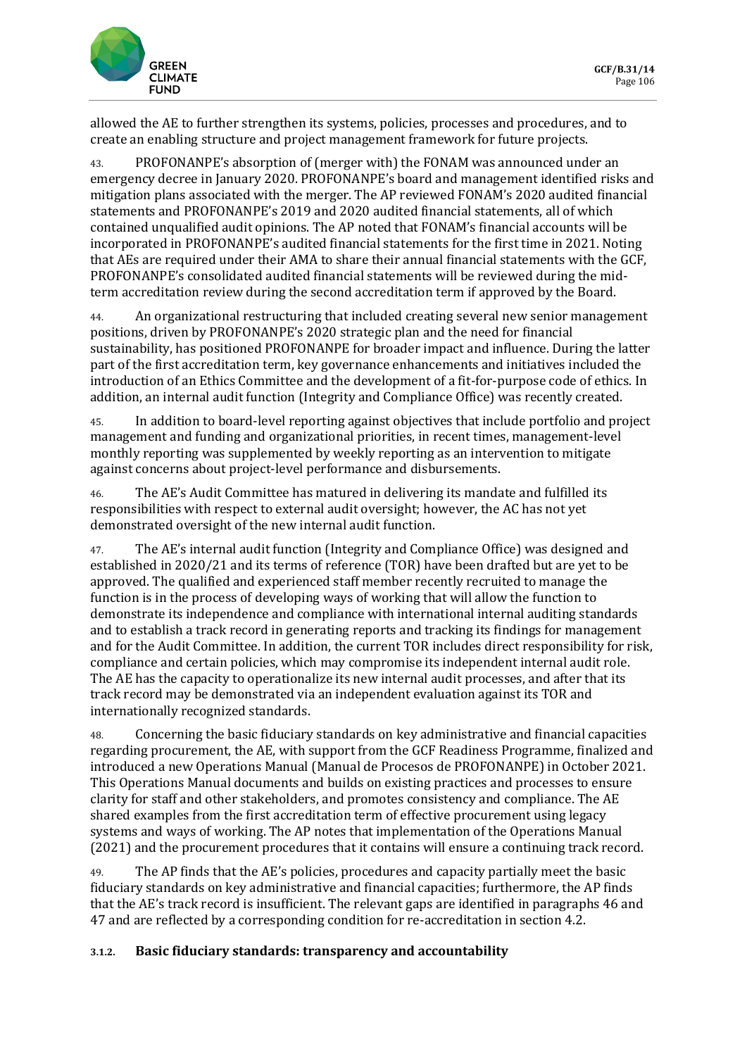

allowed the AE to further strengthen its systems, policies, processes and procedures, and to create an enabling structure and project management framework for future projects.

43. PROFONANPE's absorption of (merger with) the FONAM was announced under an emergency decree in January 2020. PROFONANPE's board and management identified risks and mitigation plans associated with the merger. The AP reviewed FONAM's 2020 audited financial statements and PROFONANPE's 2019 and 2020 audited financial statements, all of which contained unqualified audit opinions. The AP noted that FONAM's financial accounts will be incorporated in PROFONANPE's audited financial statements for the first time in 2021. Noting that AEs are required under their AMA to share their annual financial statements with the GCF, PROFONANPE's consolidated audited financial statements will be reviewed during the midterm accreditation review during the second accreditation term if approved by the Board.

44. An organizational restructuring that included creating several new senior management positions, driven by PROFONANPE's 2020 strategic plan and the need for financial sustainability, has positioned PROFONANPE for broader impact and influence. During the latter part of the first accreditation term, key governance enhancements and initiatives included the introduction of an Ethics Committee and the development of a fit-for-purpose code of ethics. In addition, an internal audit function (Integrity and Compliance Office) was recently created.

45. In addition to board-level reporting against objectives that include portfolio and project management and funding and organizational priorities, in recent times, management-level monthly reporting was supplemented by weekly reporting as an intervention to mitigate against concerns about project-level performance and disbursements.

46. The AE's Audit Committee has matured in delivering its mandate and fulfilled its responsibilities with respect to external audit oversight; however, the AC has not yet demonstrated oversight of the new internal audit function.

47. The AE's internal audit function (Integrity and Compliance Office) was designed and established in 2020/21 and its terms of reference (TOR) have been drafted but are yet to be approved. The qualified and experienced staff member recently recruited to manage the function is in the process of developing ways of working that will allow the function to demonstrate its independence and compliance with international internal auditing standards and to establish a track record in generating reports and tracking its findings for management and for the Audit Committee. In addition, the current TOR includes direct responsibility for risk, compliance and certain policies, which may compromise its independent internal audit role. The AE has the capacity to operationalize its new internal audit processes, and after that its track record may be demonstrated via an independent evaluation against its TOR and internationally recognized standards.

48. Concerning the basic fiduciary standards on key administrative and financial capacities regarding procurement, the AE, with support from the GCF Readiness Programme, finalized and introduced a new Operations Manual (Manual de Procesos de PROFONANPE) in October 2021. This Operations Manual documents and builds on existing practices and processes to ensure clarity for staff and other stakeholders, and promotes consistency and compliance. The AE shared examples from the first accreditation term of effective procurement using legacy systems and ways of working. The AP notes that implementation of the Operations Manual (2021) and the procurement procedures that it contains will ensure a continuing track record.

49. The AP finds that the AE's policies, procedures and capacity partially meet the basic fiduciary standards on key administrative and financial capacities; furthermore, the AP finds that the AE's track record is insufficient. The relevant gaps are identified in paragraphs 46 and 47 and are reflected by a corresponding condition for re-accreditation in section 4.2.

#### **3.1.2. Basic fiduciary standards: transparency and accountability**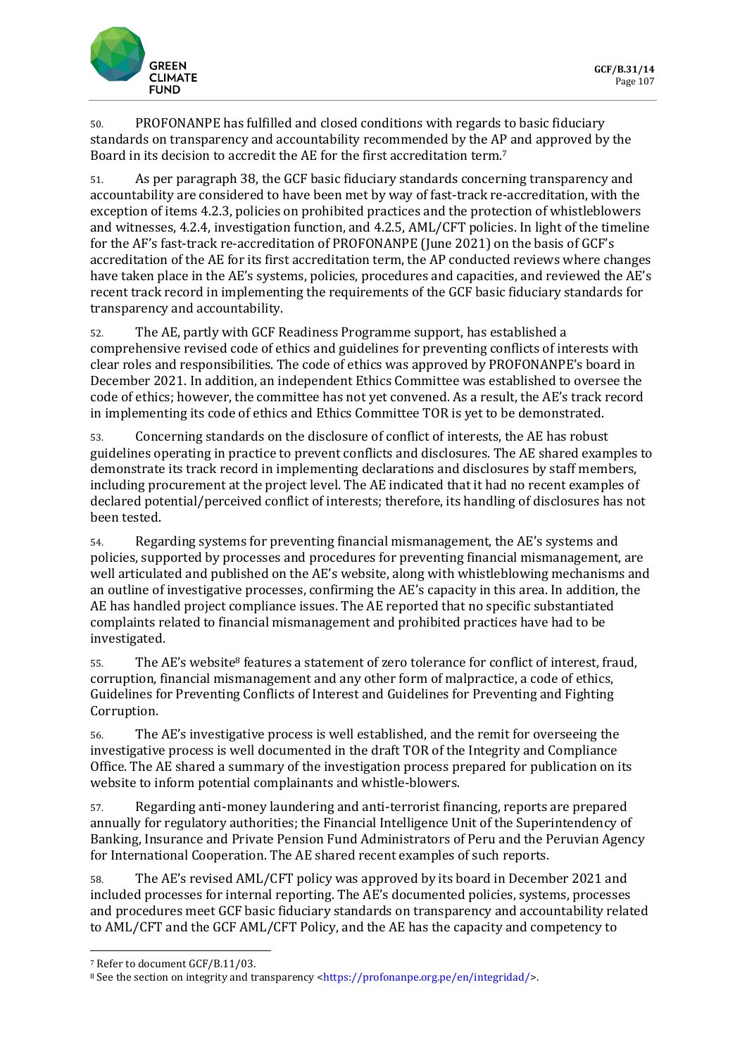

50. PROFONANPE has fulfilled and closed conditions with regards to basic fiduciary standards on transparency and accountability recommended by the AP and approved by the Board in its decision to accredit the AE for the first accreditation term.<sup>7</sup>

51. As per paragraph 38, the GCF basic fiduciary standards concerning transparency and accountability are considered to have been met by way of fast-track re-accreditation, with the exception of items 4.2.3, policies on prohibited practices and the protection of whistleblowers and witnesses, 4.2.4, investigation function, and 4.2.5, AML/CFT policies. In light of the timeline for the AF's fast-track re-accreditation of PROFONANPE (June 2021) on the basis of GCF's accreditation of the AE for its first accreditation term, the AP conducted reviews where changes have taken place in the AE's systems, policies, procedures and capacities, and reviewed the AE's recent track record in implementing the requirements of the GCF basic fiduciary standards for transparency and accountability.

52. The AE, partly with GCF Readiness Programme support, has established a comprehensive revised code of ethics and guidelines for preventing conflicts of interests with clear roles and responsibilities. The code of ethics was approved by PROFONANPE's board in December 2021. In addition, an independent Ethics Committee was established to oversee the code of ethics; however, the committee has not yet convened. As a result, the AE's track record in implementing its code of ethics and Ethics Committee TOR is yet to be demonstrated.

53. Concerning standards on the disclosure of conflict of interests, the AE has robust guidelines operating in practice to prevent conflicts and disclosures. The AE shared examples to demonstrate its track record in implementing declarations and disclosures by staff members, including procurement at the project level. The AE indicated that it had no recent examples of declared potential/perceived conflict of interests; therefore, its handling of disclosures has not been tested.

54. Regarding systems for preventing financial mismanagement, the AE's systems and policies, supported by processes and procedures for preventing financial mismanagement, are well articulated and published on the AE's website, along with whistleblowing mechanisms and an outline of investigative processes, confirming the AE's capacity in this area. In addition, the AE has handled project compliance issues. The AE reported that no specific substantiated complaints related to financial mismanagement and prohibited practices have had to be investigated.

55. The AE's website<sup>8</sup> features a statement of zero tolerance for conflict of interest, fraud, corruption, financial mismanagement and any other form of malpractice, a code of ethics, Guidelines for Preventing Conflicts of Interest and Guidelines for Preventing and Fighting Corruption.

56. The AE's investigative process is well established, and the remit for overseeing the investigative process is well documented in the draft TOR of the Integrity and Compliance Office. The AE shared a summary of the investigation process prepared for publication on its website to inform potential complainants and whistle-blowers.

57. Regarding anti-money laundering and anti-terrorist financing, reports are prepared annually for regulatory authorities; the Financial Intelligence Unit of the Superintendency of Banking, Insurance and Private Pension Fund Administrators of Peru and the Peruvian Agency for International Cooperation. The AE shared recent examples of such reports.

58. The AE's revised AML/CFT policy was approved by its board in December 2021 and included processes for internal reporting. The AE's documented policies, systems, processes and procedures meet GCF basic fiduciary standards on transparency and accountability related to AML/CFT and the GCF AML/CFT Policy, and the AE has the capacity and competency to

<sup>7</sup> Refer to document GCF/B.11/03.

<sup>&</sup>lt;sup>8</sup> See the section on integrity and transparency [<https://profonanpe.org.pe/en/integridad/>](https://profonanpe.org.pe/en/integridad/).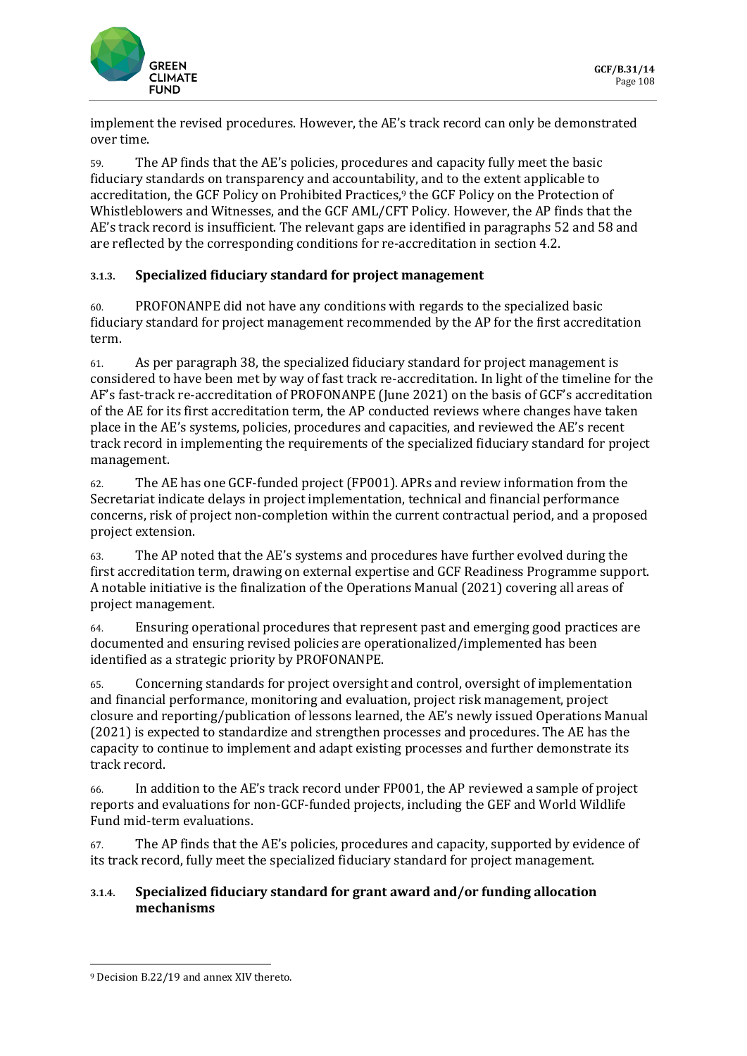

implement the revised procedures. However, the AE's track record can only be demonstrated over time.

59. The AP finds that the AE's policies, procedures and capacity fully meet the basic fiduciary standards on transparency and accountability, and to the extent applicable to accreditation, the GCF Policy on Prohibited Practices,<sup>9</sup> the GCF Policy on the Protection of Whistleblowers and Witnesses, and the GCF AML/CFT Policy. However, the AP finds that the AE's track record is insufficient. The relevant gaps are identified in paragraphs 52 and 58 and are reflected by the corresponding conditions for re-accreditation in section 4.2.

#### **3.1.3. Specialized fiduciary standard for project management**

60. PROFONANPE did not have any conditions with regards to the specialized basic fiduciary standard for project management recommended by the AP for the first accreditation term.

61. As per paragraph 38, the specialized fiduciary standard for project management is considered to have been met by way of fast track re-accreditation. In light of the timeline for the AF's fast-track re-accreditation of PROFONANPE (June 2021) on the basis of GCF's accreditation of the AE for its first accreditation term, the AP conducted reviews where changes have taken place in the AE's systems, policies, procedures and capacities, and reviewed the AE's recent track record in implementing the requirements of the specialized fiduciary standard for project management.

62. The AE has one GCF-funded project (FP001). APRs and review information from the Secretariat indicate delays in project implementation, technical and financial performance concerns, risk of project non-completion within the current contractual period, and a proposed project extension.

63. The AP noted that the AE's systems and procedures have further evolved during the first accreditation term, drawing on external expertise and GCF Readiness Programme support. A notable initiative is the finalization of the Operations Manual (2021) covering all areas of project management.

64. Ensuring operational procedures that represent past and emerging good practices are documented and ensuring revised policies are operationalized/implemented has been identified as a strategic priority by PROFONANPE.

65. Concerning standards for project oversight and control, oversight of implementation and financial performance, monitoring and evaluation, project risk management, project closure and reporting/publication of lessons learned, the AE's newly issued Operations Manual (2021) is expected to standardize and strengthen processes and procedures. The AE has the capacity to continue to implement and adapt existing processes and further demonstrate its track record.

66. In addition to the AE's track record under FP001, the AP reviewed a sample of project reports and evaluations for non-GCF-funded projects, including the GEF and World Wildlife Fund mid-term evaluations.

67. The AP finds that the AE's policies, procedures and capacity, supported by evidence of its track record, fully meet the specialized fiduciary standard for project management.

#### **3.1.4. Specialized fiduciary standard for grant award and/or funding allocation mechanisms**

<sup>9</sup> Decision B.22/19 and annex XIV thereto.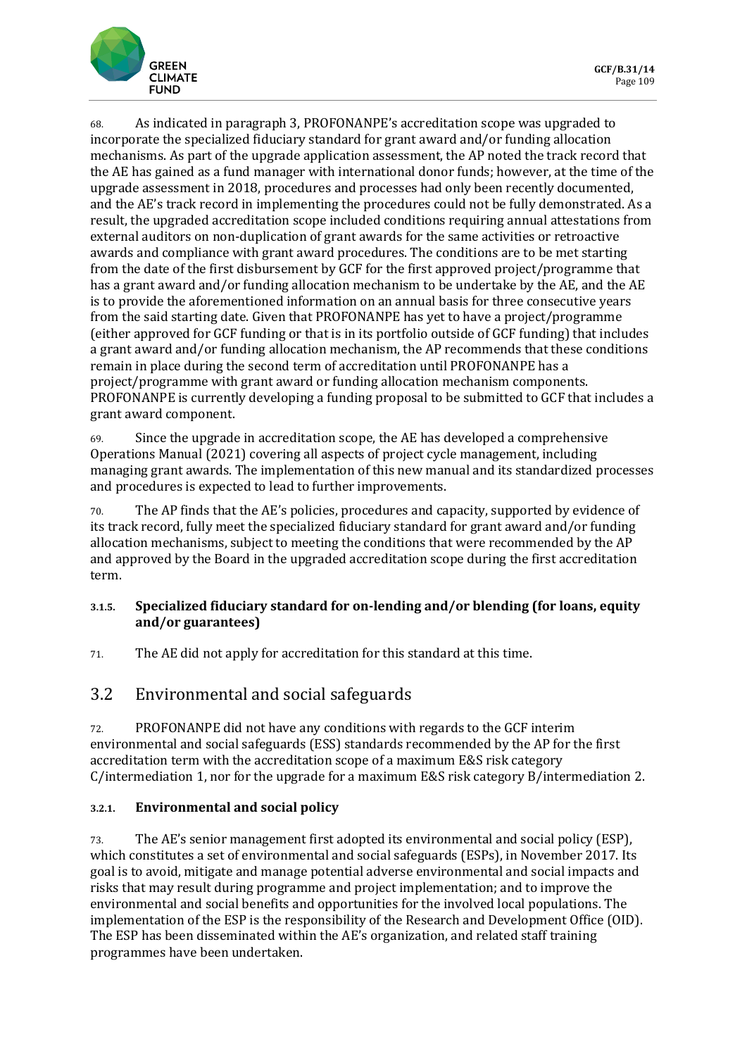

68. As indicated in paragraph 3, PROFONANPE's accreditation scope was upgraded to incorporate the specialized fiduciary standard for grant award and/or funding allocation mechanisms. As part of the upgrade application assessment, the AP noted the track record that the AE has gained as a fund manager with international donor funds; however, at the time of the upgrade assessment in 2018, procedures and processes had only been recently documented, and the AE's track record in implementing the procedures could not be fully demonstrated. As a result, the upgraded accreditation scope included conditions requiring annual attestations from external auditors on non-duplication of grant awards for the same activities or retroactive awards and compliance with grant award procedures. The conditions are to be met starting from the date of the first disbursement by GCF for the first approved project/programme that has a grant award and/or funding allocation mechanism to be undertake by the AE, and the AE is to provide the aforementioned information on an annual basis for three consecutive years from the said starting date. Given that PROFONANPE has yet to have a project/programme (either approved for GCF funding or that is in its portfolio outside of GCF funding) that includes a grant award and/or funding allocation mechanism, the AP recommends that these conditions remain in place during the second term of accreditation until PROFONANPE has a project/programme with grant award or funding allocation mechanism components. PROFONANPE is currently developing a funding proposal to be submitted to GCF that includes a grant award component.

69. Since the upgrade in accreditation scope, the AE has developed a comprehensive Operations Manual (2021) covering all aspects of project cycle management, including managing grant awards. The implementation of this new manual and its standardized processes and procedures is expected to lead to further improvements.

70. The AP finds that the AE's policies, procedures and capacity, supported by evidence of its track record, fully meet the specialized fiduciary standard for grant award and/or funding allocation mechanisms, subject to meeting the conditions that were recommended by the AP and approved by the Board in the upgraded accreditation scope during the first accreditation term.

#### **3.1.5. Specialized fiduciary standard for on-lending and/or blending (for loans, equity and/or guarantees)**

71. The AE did not apply for accreditation for this standard at this time.

## 3.2 Environmental and social safeguards

72. PROFONANPE did not have any conditions with regards to the GCF interim environmental and social safeguards (ESS) standards recommended by the AP for the first accreditation term with the accreditation scope of a maximum E&S risk category C/intermediation 1, nor for the upgrade for a maximum E&S risk category B/intermediation 2.

#### **3.2.1. Environmental and social policy**

73. The AE's senior management first adopted its environmental and social policy (ESP), which constitutes a set of environmental and social safeguards (ESPs), in November 2017. Its goal is to avoid, mitigate and manage potential adverse environmental and social impacts and risks that may result during programme and project implementation; and to improve the environmental and social benefits and opportunities for the involved local populations. The implementation of the ESP is the responsibility of the Research and Development Office (OID). The ESP has been disseminated within the AE's organization, and related staff training programmes have been undertaken.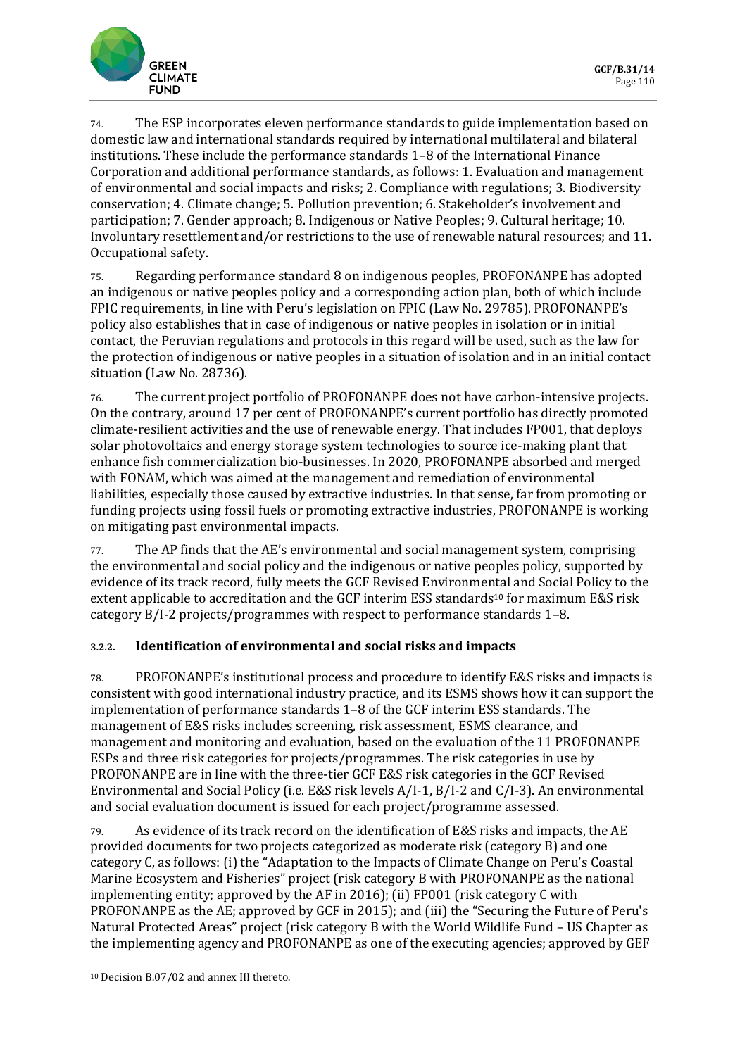

74. The ESP incorporates eleven performance standards to guide implementation based on domestic law and international standards required by international multilateral and bilateral institutions. These include the performance standards 1–8 of the International Finance Corporation and additional performance standards, as follows: 1. Evaluation and management of environmental and social impacts and risks; 2. Compliance with regulations; 3. Biodiversity conservation; 4. Climate change; 5. Pollution prevention; 6. Stakeholder's involvement and participation; 7. Gender approach; 8. Indigenous or Native Peoples; 9. Cultural heritage; 10. Involuntary resettlement and/or restrictions to the use of renewable natural resources; and 11. Occupational safety.

75. Regarding performance standard 8 on indigenous peoples, PROFONANPE has adopted an indigenous or native peoples policy and a corresponding action plan, both of which include FPIC requirements, in line with Peru's legislation on FPIC (Law No. 29785). PROFONANPE's policy also establishes that in case of indigenous or native peoples in isolation or in initial contact, the Peruvian regulations and protocols in this regard will be used, such as the law for the protection of indigenous or native peoples in a situation of isolation and in an initial contact situation (Law No. 28736).

76. The current project portfolio of PROFONANPE does not have carbon-intensive projects. On the contrary, around 17 per cent of PROFONANPE's current portfolio has directly promoted climate-resilient activities and the use of renewable energy. That includes FP001, that deploys solar photovoltaics and energy storage system technologies to source ice-making plant that enhance fish commercialization bio-businesses. In 2020, PROFONANPE absorbed and merged with FONAM, which was aimed at the management and remediation of environmental liabilities, especially those caused by extractive industries. In that sense, far from promoting or funding projects using fossil fuels or promoting extractive industries, PROFONANPE is working on mitigating past environmental impacts.

77. The AP finds that the AE's environmental and social management system, comprising the environmental and social policy and the indigenous or native peoples policy, supported by evidence of its track record, fully meets the GCF Revised Environmental and Social Policy to the extent applicable to accreditation and the GCF interim ESS standards<sup>10</sup> for maximum E&S risk category B/I-2 projects/programmes with respect to performance standards 1–8.

#### **3.2.2. Identification of environmental and social risks and impacts**

78. PROFONANPE's institutional process and procedure to identify E&S risks and impacts is consistent with good international industry practice, and its ESMS shows how it can support the implementation of performance standards 1–8 of the GCF interim ESS standards. The management of E&S risks includes screening, risk assessment, ESMS clearance, and management and monitoring and evaluation, based on the evaluation of the 11 PROFONANPE ESPs and three risk categories for projects/programmes. The risk categories in use by PROFONANPE are in line with the three-tier GCF E&S risk categories in the GCF Revised Environmental and Social Policy (i.e. E&S risk levels A/I-1, B/I-2 and C/I-3). An environmental and social evaluation document is issued for each project/programme assessed.

79. As evidence of its track record on the identification of E&S risks and impacts, the AE provided documents for two projects categorized as moderate risk (category B) and one category C, as follows: (i) the "Adaptation to the Impacts of Climate Change on Peru's Coastal Marine Ecosystem and Fisheries" project (risk category B with PROFONANPE as the national implementing entity; approved by the AF in 2016); (ii) FP001 (risk category C with PROFONANPE as the AE; approved by GCF in 2015); and (iii) the "Securing the Future of Peru's Natural Protected Areas" project (risk category B with the World Wildlife Fund – US Chapter as the implementing agency and PROFONANPE as one of the executing agencies; approved by GEF

<sup>10</sup> Decision B.07/02 and annex III thereto.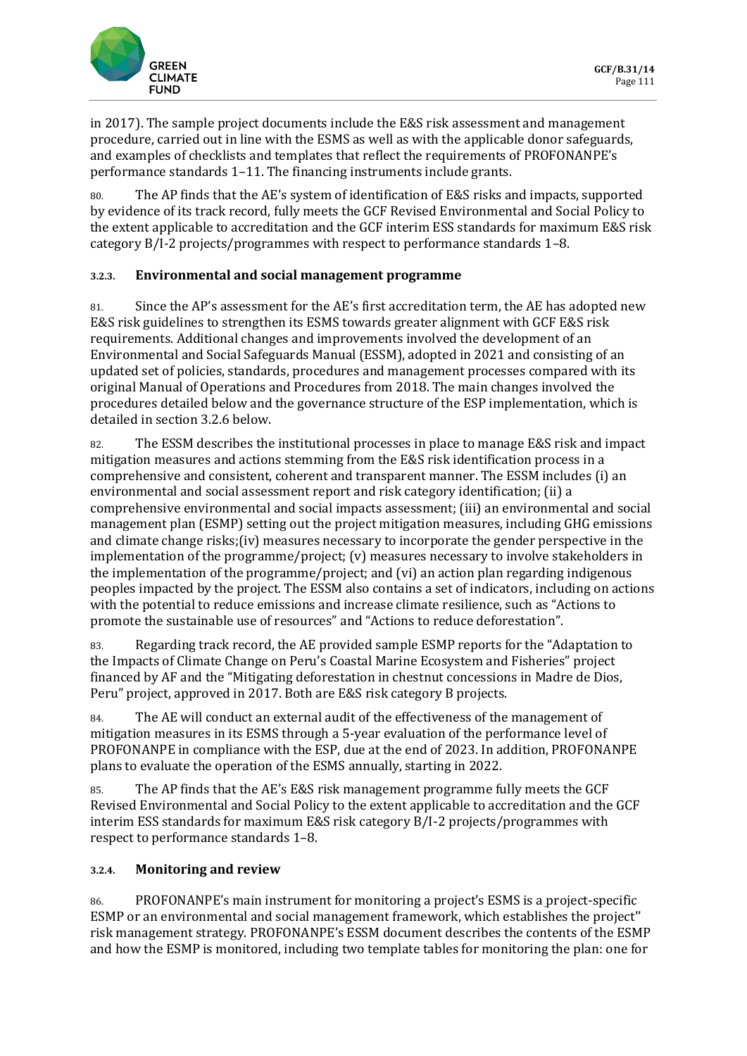

in 2017). The sample project documents include the E&S risk assessment and management procedure, carried out in line with the ESMS as well as with the applicable donor safeguards, and examples of checklists and templates that reflect the requirements of PROFONANPE's performance standards 1–11. The financing instruments include grants.

80. The AP finds that the AE's system of identification of E&S risks and impacts, supported by evidence of its track record, fully meets the GCF Revised Environmental and Social Policy to the extent applicable to accreditation and the GCF interim ESS standards for maximum E&S risk category B/I-2 projects/programmes with respect to performance standards 1–8.

#### **3.2.3. Environmental and social management programme**

81. Since the AP's assessment for the AE's first accreditation term, the AE has adopted new E&S risk guidelines to strengthen its ESMS towards greater alignment with GCF E&S risk requirements. Additional changes and improvements involved the development of an Environmental and Social Safeguards Manual (ESSM), adopted in 2021 and consisting of an updated set of policies, standards, procedures and management processes compared with its original Manual of Operations and Procedures from 2018. The main changes involved the procedures detailed below and the governance structure of the ESP implementation, which is detailed in section 3.2.6 below.

82. The ESSM describes the institutional processes in place to manage E&S risk and impact mitigation measures and actions stemming from the E&S risk identification process in a comprehensive and consistent, coherent and transparent manner. The ESSM includes (i) an environmental and social assessment report and risk category identification; (ii) a comprehensive environmental and social impacts assessment; (iii) an environmental and social management plan (ESMP) setting out the project mitigation measures, including GHG emissions and climate change risks;(iv) measures necessary to incorporate the gender perspective in the implementation of the programme/project; (v) measures necessary to involve stakeholders in the implementation of the programme/project; and (vi) an action plan regarding indigenous peoples impacted by the project. The ESSM also contains a set of indicators, including on actions with the potential to reduce emissions and increase climate resilience, such as "Actions to promote the sustainable use of resources" and "Actions to reduce deforestation".

83. Regarding track record, the AE provided sample ESMP reports for the "Adaptation to the Impacts of Climate Change on Peru's Coastal Marine Ecosystem and Fisheries" project financed by AF and the "Mitigating deforestation in chestnut concessions in Madre de Dios, Peru" project, approved in 2017. Both are E&S risk category B projects.

84. The AE will conduct an external audit of the effectiveness of the management of mitigation measures in its ESMS through a 5-year evaluation of the performance level of PROFONANPE in compliance with the ESP, due at the end of 2023. In addition, PROFONANPE plans to evaluate the operation of the ESMS annually, starting in 2022.

85. The AP finds that the AE's E&S risk management programme fully meets the GCF Revised Environmental and Social Policy to the extent applicable to accreditation and the GCF interim ESS standards for maximum E&S risk category B/I-2 projects/programmes with respect to performance standards 1–8.

#### **3.2.4. Monitoring and review**

86. PROFONANPE's main instrument for monitoring a project's ESMS is a project-specific ESMP or an environmental and social management framework, which establishes the project'' risk management strategy. PROFONANPE's ESSM document describes the contents of the ESMP and how the ESMP is monitored, including two template tables for monitoring the plan: one for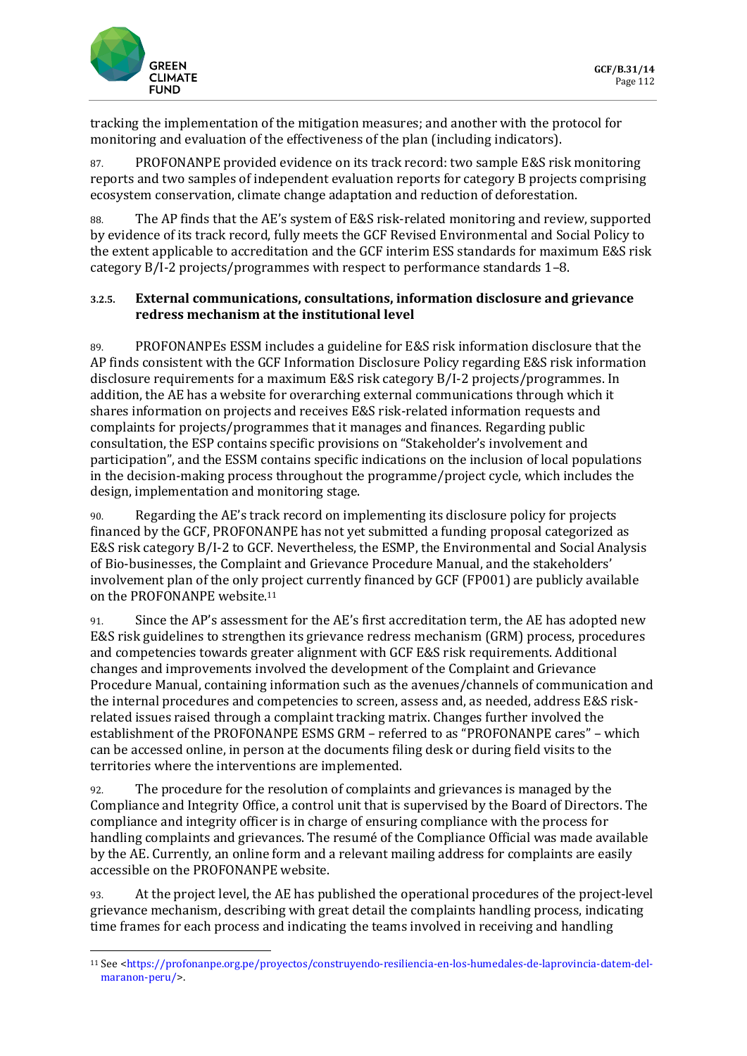

tracking the implementation of the mitigation measures; and another with the protocol for monitoring and evaluation of the effectiveness of the plan (including indicators).

87. PROFONANPE provided evidence on its track record: two sample E&S risk monitoring reports and two samples of independent evaluation reports for category B projects comprising ecosystem conservation, climate change adaptation and reduction of deforestation.

88. The AP finds that the AE's system of E&S risk-related monitoring and review, supported by evidence of its track record, fully meets the GCF Revised Environmental and Social Policy to the extent applicable to accreditation and the GCF interim ESS standards for maximum E&S risk category B/I-2 projects/programmes with respect to performance standards 1–8.

#### **3.2.5. External communications, consultations, information disclosure and grievance redress mechanism at the institutional level**

89. PROFONANPEs ESSM includes a guideline for E&S risk information disclosure that the AP finds consistent with the GCF Information Disclosure Policy regarding E&S risk information disclosure requirements for a maximum E&S risk category B/I-2 projects/programmes. In addition, the AE has a website for overarching external communications through which it shares information on projects and receives E&S risk-related information requests and complaints for projects/programmes that it manages and finances. Regarding public consultation, the ESP contains specific provisions on "Stakeholder's involvement and participation", and the ESSM contains specific indications on the inclusion of local populations in the decision-making process throughout the programme/project cycle, which includes the design, implementation and monitoring stage.

90. Regarding the AE's track record on implementing its disclosure policy for projects financed by the GCF, PROFONANPE has not yet submitted a funding proposal categorized as E&S risk category B/I-2 to GCF. Nevertheless, the ESMP, the Environmental and Social Analysis of Bio-businesses, the Complaint and Grievance Procedure Manual, and the stakeholders' involvement plan of the only project currently financed by GCF (FP001) are publicly available on the PROFONANPE website.<sup>11</sup>

91. Since the AP's assessment for the AE's first accreditation term, the AE has adopted new E&S risk guidelines to strengthen its grievance redress mechanism (GRM) process, procedures and competencies towards greater alignment with GCF E&S risk requirements. Additional changes and improvements involved the development of the Complaint and Grievance Procedure Manual, containing information such as the avenues/channels of communication and the internal procedures and competencies to screen, assess and, as needed, address E&S riskrelated issues raised through a complaint tracking matrix. Changes further involved the establishment of the PROFONANPE ESMS GRM – referred to as "PROFONANPE cares" – which can be accessed online, in person at the documents filing desk or during field visits to the territories where the interventions are implemented.

92. The procedure for the resolution of complaints and grievances is managed by the Compliance and Integrity Office, a control unit that is supervised by the Board of Directors. The compliance and integrity officer is in charge of ensuring compliance with the process for handling complaints and grievances. The resumé of the Compliance Official was made available by the AE. Currently, an online form and a relevant mailing address for complaints are easily accessible on the PROFONANPE website.

93. At the project level, the AE has published the operational procedures of the project-level grievance mechanism, describing with great detail the complaints handling process, indicating time frames for each process and indicating the teams involved in receiving and handling

<sup>11</sup> See [<https://profonanpe.org.pe/proyectos/construyendo-resiliencia-en-los-humedales-de-laprovincia-datem-del](https://profonanpe.org.pe/proyectos/construyendo-resiliencia-en-los-humedales-de-laprovincia-datem-del-maranon-peru/)[maranon-peru/>](https://profonanpe.org.pe/proyectos/construyendo-resiliencia-en-los-humedales-de-laprovincia-datem-del-maranon-peru/).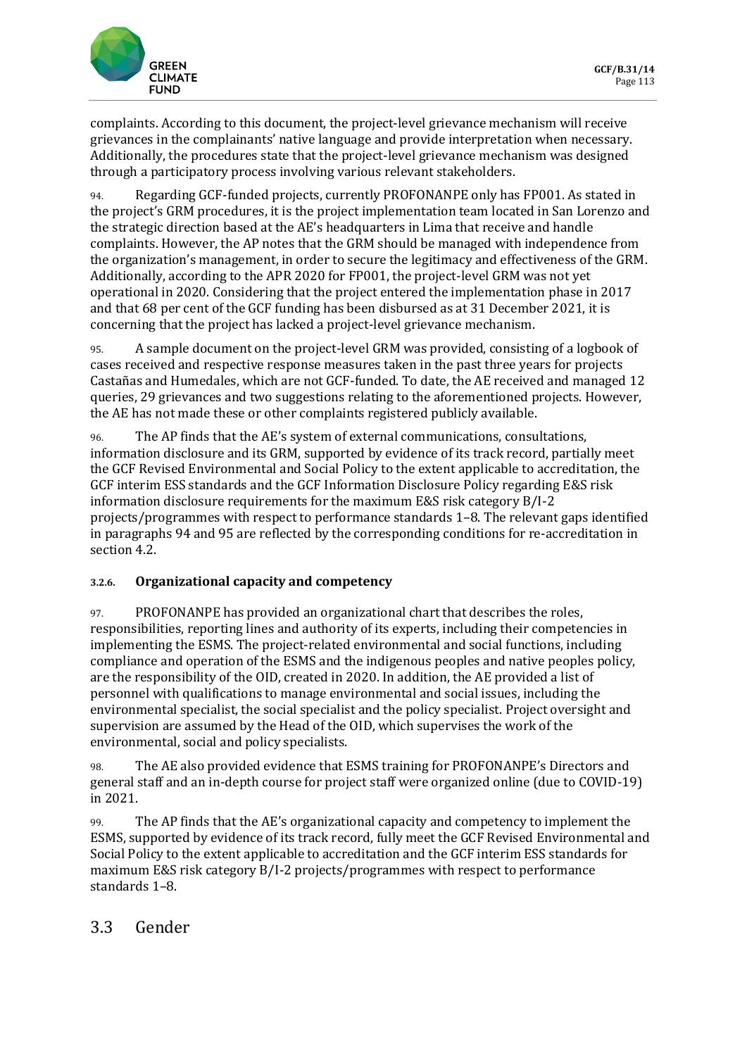

complaints. According to this document, the project-level grievance mechanism will receive grievances in the complainants' native language and provide interpretation when necessary. Additionally, the procedures state that the project-level grievance mechanism was designed through a participatory process involving various relevant stakeholders.

94. Regarding GCF-funded projects, currently PROFONANPE only has FP001. As stated in the project's GRM procedures, it is the project implementation team located in San Lorenzo and the strategic direction based at the AE's headquarters in Lima that receive and handle complaints. However, the AP notes that the GRM should be managed with independence from the organization's management, in order to secure the legitimacy and effectiveness of the GRM. Additionally, according to the APR 2020 for FP001, the project-level GRM was not yet operational in 2020. Considering that the project entered the implementation phase in 2017 and that 68 per cent of the GCF funding has been disbursed as at 31 December 2021, it is concerning that the project has lacked a project-level grievance mechanism.

95. A sample document on the project-level GRM was provided, consisting of a logbook of cases received and respective response measures taken in the past three years for projects Castañas and Humedales, which are not GCF-funded. To date, the AE received and managed 12 queries, 29 grievances and two suggestions relating to the aforementioned projects. However, the AE has not made these or other complaints registered publicly available.

96. The AP finds that the AE's system of external communications, consultations, information disclosure and its GRM, supported by evidence of its track record, partially meet the GCF Revised Environmental and Social Policy to the extent applicable to accreditation, the GCF interim ESS standards and the GCF Information Disclosure Policy regarding E&S risk information disclosure requirements for the maximum E&S risk category B/I-2 projects/programmes with respect to performance standards 1–8. The relevant gaps identified in paragraphs 94 and 95 are reflected by the corresponding conditions for re-accreditation in section 4.2.

#### **3.2.6. Organizational capacity and competency**

97. PROFONANPE has provided an organizational chart that describes the roles, responsibilities, reporting lines and authority of its experts, including their competencies in implementing the ESMS. The project-related environmental and social functions, including compliance and operation of the ESMS and the indigenous peoples and native peoples policy, are the responsibility of the OID, created in 2020. In addition, the AE provided a list of personnel with qualifications to manage environmental and social issues, including the environmental specialist, the social specialist and the policy specialist. Project oversight and supervision are assumed by the Head of the OID, which supervises the work of the environmental, social and policy specialists.

98. The AE also provided evidence that ESMS training for PROFONANPE's Directors and general staff and an in-depth course for project staff were organized online (due to COVID-19) in 2021.

99. The AP finds that the AE's organizational capacity and competency to implement the ESMS, supported by evidence of its track record, fully meet the GCF Revised Environmental and Social Policy to the extent applicable to accreditation and the GCF interim ESS standards for maximum E&S risk category B/I-2 projects/programmes with respect to performance standards 1–8.

### 3.3 Gender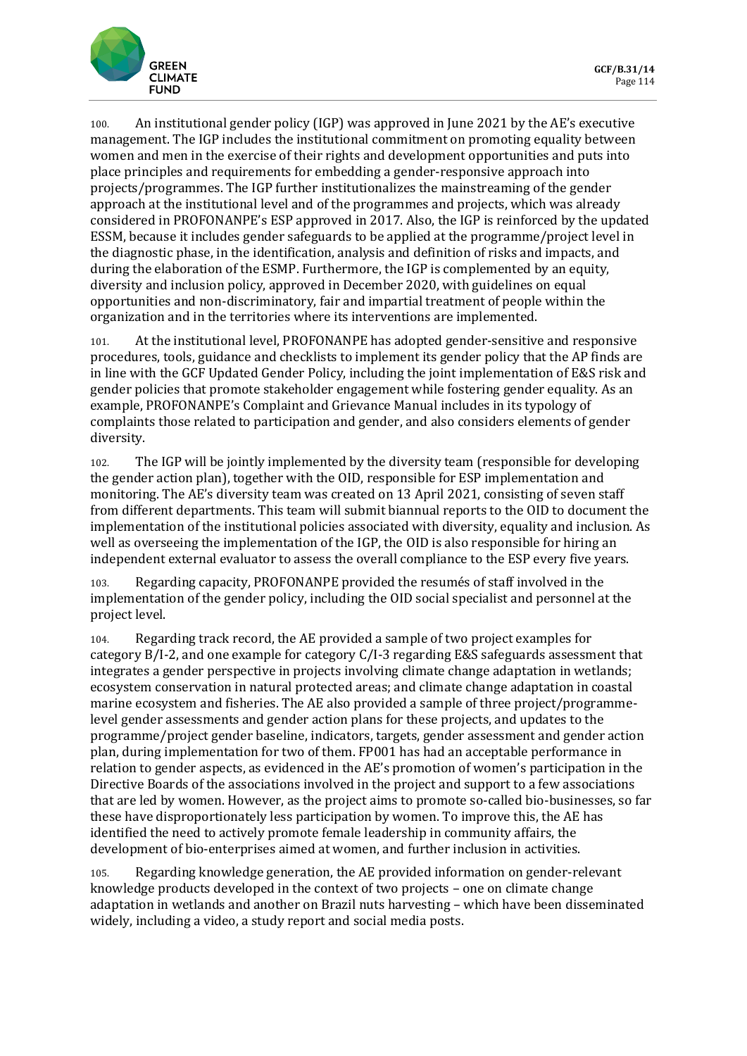

100. An institutional gender policy (IGP) was approved in June 2021 by the AE's executive management. The IGP includes the institutional commitment on promoting equality between women and men in the exercise of their rights and development opportunities and puts into place principles and requirements for embedding a gender-responsive approach into projects/programmes. The IGP further institutionalizes the mainstreaming of the gender approach at the institutional level and of the programmes and projects, which was already considered in PROFONANPE's ESP approved in 2017. Also, the IGP is reinforced by the updated ESSM, because it includes gender safeguards to be applied at the programme/project level in the diagnostic phase, in the identification, analysis and definition of risks and impacts, and during the elaboration of the ESMP. Furthermore, the IGP is complemented by an equity, diversity and inclusion policy, approved in December 2020, with guidelines on equal opportunities and non-discriminatory, fair and impartial treatment of people within the organization and in the territories where its interventions are implemented.

101. At the institutional level, PROFONANPE has adopted gender-sensitive and responsive procedures, tools, guidance and checklists to implement its gender policy that the AP finds are in line with the GCF Updated Gender Policy, including the joint implementation of E&S risk and gender policies that promote stakeholder engagement while fostering gender equality. As an example, PROFONANPE's Complaint and Grievance Manual includes in its typology of complaints those related to participation and gender, and also considers elements of gender diversity.

102. The IGP will be jointly implemented by the diversity team (responsible for developing the gender action plan), together with the OID, responsible for ESP implementation and monitoring. The AE's diversity team was created on 13 April 2021, consisting of seven staff from different departments. This team will submit biannual reports to the OID to document the implementation of the institutional policies associated with diversity, equality and inclusion. As well as overseeing the implementation of the IGP, the OID is also responsible for hiring an independent external evaluator to assess the overall compliance to the ESP every five years.

103. Regarding capacity, PROFONANPE provided the resumés of staff involved in the implementation of the gender policy, including the OID social specialist and personnel at the project level.

104. Regarding track record, the AE provided a sample of two project examples for category B/I-2, and one example for category C/I-3 regarding E&S safeguards assessment that integrates a gender perspective in projects involving climate change adaptation in wetlands; ecosystem conservation in natural protected areas; and climate change adaptation in coastal marine ecosystem and fisheries. The AE also provided a sample of three project/programmelevel gender assessments and gender action plans for these projects, and updates to the programme/project gender baseline, indicators, targets, gender assessment and gender action plan, during implementation for two of them. FP001 has had an acceptable performance in relation to gender aspects, as evidenced in the AE's promotion of women's participation in the Directive Boards of the associations involved in the project and support to a few associations that are led by women. However, as the project aims to promote so-called bio-businesses, so far these have disproportionately less participation by women. To improve this, the AE has identified the need to actively promote female leadership in community affairs, the development of bio-enterprises aimed at women, and further inclusion in activities.

105. Regarding knowledge generation, the AE provided information on gender-relevant knowledge products developed in the context of two projects – one on climate change adaptation in wetlands and another on Brazil nuts harvesting – which have been disseminated widely, including a video, a study report and social media posts.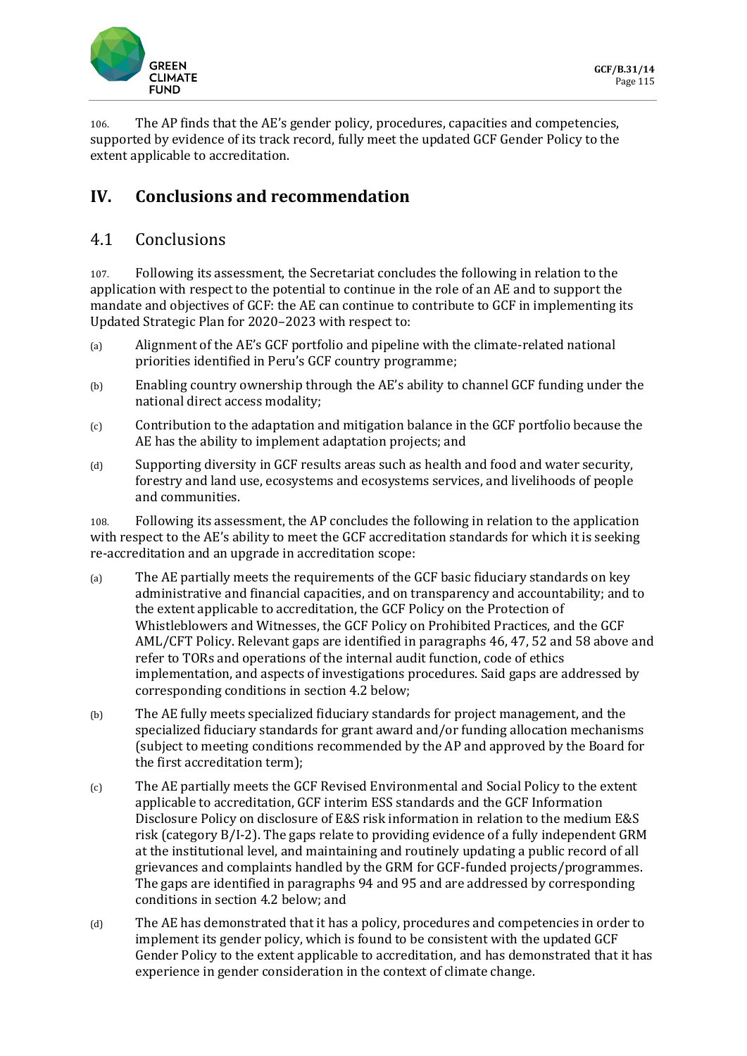

106. The AP finds that the AE's gender policy, procedures, capacities and competencies, supported by evidence of its track record, fully meet the updated GCF Gender Policy to the extent applicable to accreditation.

# **IV. Conclusions and recommendation**

## 4.1 Conclusions

107. Following its assessment, the Secretariat concludes the following in relation to the application with respect to the potential to continue in the role of an AE and to support the mandate and objectives of GCF: the AE can continue to contribute to GCF in implementing its Updated Strategic Plan for 2020–2023 with respect to:

- (a) Alignment of the AE's GCF portfolio and pipeline with the climate-related national priorities identified in Peru's GCF country programme;
- (b) Enabling country ownership through the AE's ability to channel GCF funding under the national direct access modality;
- $(c)$  Contribution to the adaptation and mitigation balance in the GCF portfolio because the AE has the ability to implement adaptation projects; and
- (d) Supporting diversity in GCF results areas such as health and food and water security, forestry and land use, ecosystems and ecosystems services, and livelihoods of people and communities.

108. Following its assessment, the AP concludes the following in relation to the application with respect to the AE's ability to meet the GCF accreditation standards for which it is seeking re-accreditation and an upgrade in accreditation scope:

- (a) The AE partially meets the requirements of the GCF basic fiduciary standards on key administrative and financial capacities, and on transparency and accountability; and to the extent applicable to accreditation, the GCF Policy on the Protection of Whistleblowers and Witnesses, the GCF Policy on Prohibited Practices, and the GCF AML/CFT Policy. Relevant gaps are identified in paragraphs 46, 47, 52 and 58 above and refer to TORs and operations of the internal audit function, code of ethics implementation, and aspects of investigations procedures. Said gaps are addressed by corresponding conditions in section 4.2 below;
- (b) The AE fully meets specialized fiduciary standards for project management, and the specialized fiduciary standards for grant award and/or funding allocation mechanisms (subject to meeting conditions recommended by the AP and approved by the Board for the first accreditation term);
- (c) The AE partially meets the GCF Revised Environmental and Social Policy to the extent applicable to accreditation, GCF interim ESS standards and the GCF Information Disclosure Policy on disclosure of E&S risk information in relation to the medium E&S risk (category B/I-2). The gaps relate to providing evidence of a fully independent GRM at the institutional level, and maintaining and routinely updating a public record of all grievances and complaints handled by the GRM for GCF-funded projects/programmes. The gaps are identified in paragraphs 94 and 95 and are addressed by corresponding conditions in section 4.2 below; and
- (d) The AE has demonstrated that it has a policy, procedures and competencies in order to implement its gender policy, which is found to be consistent with the updated GCF Gender Policy to the extent applicable to accreditation, and has demonstrated that it has experience in gender consideration in the context of climate change.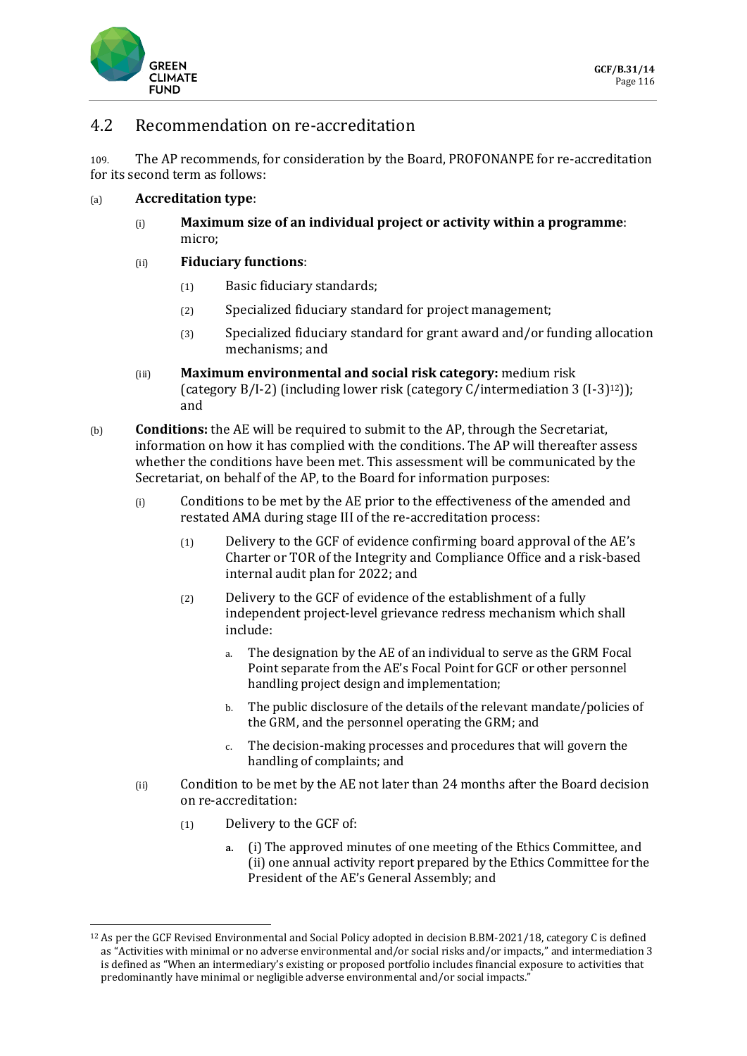

### 4.2 Recommendation on re-accreditation

109. The AP recommends, for consideration by the Board, PROFONANPE for re-accreditation for its second term as follows:

- (a) **Accreditation type**:
	- (i) **Maximum size of an individual project or activity within a programme**: micro;

#### (ii) **Fiduciary functions**:

- (1) Basic fiduciary standards;
- (2) Specialized fiduciary standard for project management;
- (3) Specialized fiduciary standard for grant award and/or funding allocation mechanisms; and
- (iii) **Maximum environmental and social risk category:** medium risk (category B/I-2) (including lower risk (category C/intermediation 3 (I-3)12)); and
- (b) **Conditions:** the AE will be required to submit to the AP, through the Secretariat, information on how it has complied with the conditions. The AP will thereafter assess whether the conditions have been met. This assessment will be communicated by the Secretariat, on behalf of the AP, to the Board for information purposes:
	- (i) Conditions to be met by the AE prior to the effectiveness of the amended and restated AMA during stage III of the re-accreditation process:
		- (1) Delivery to the GCF of evidence confirming board approval of the AE's Charter or TOR of the Integrity and Compliance Office and a risk-based internal audit plan for 2022; and
		- (2) Delivery to the GCF of evidence of the establishment of a fully independent project-level grievance redress mechanism which shall include:
			- a. The designation by the AE of an individual to serve as the GRM Focal Point separate from the AE's Focal Point for GCF or other personnel handling project design and implementation;
			- b. The public disclosure of the details of the relevant mandate/policies of the GRM, and the personnel operating the GRM; and
			- c. The decision-making processes and procedures that will govern the handling of complaints; and
	- (ii) Condition to be met by the AE not later than 24 months after the Board decision on re-accreditation:
		- (1) Delivery to the GCF of:
			- **a.** (i) The approved minutes of one meeting of the Ethics Committee, and (ii) one annual activity report prepared by the Ethics Committee for the President of the AE's General Assembly; and

<sup>12</sup> As per the GCF Revised Environmental and Social Policy adopted in decision B.BM-2021/18, category C is defined as "Activities with minimal or no adverse environmental and/or social risks and/or impacts," and intermediation 3 is defined as "When an intermediary's existing or proposed portfolio includes financial exposure to activities that predominantly have minimal or negligible adverse environmental and/or social impacts."